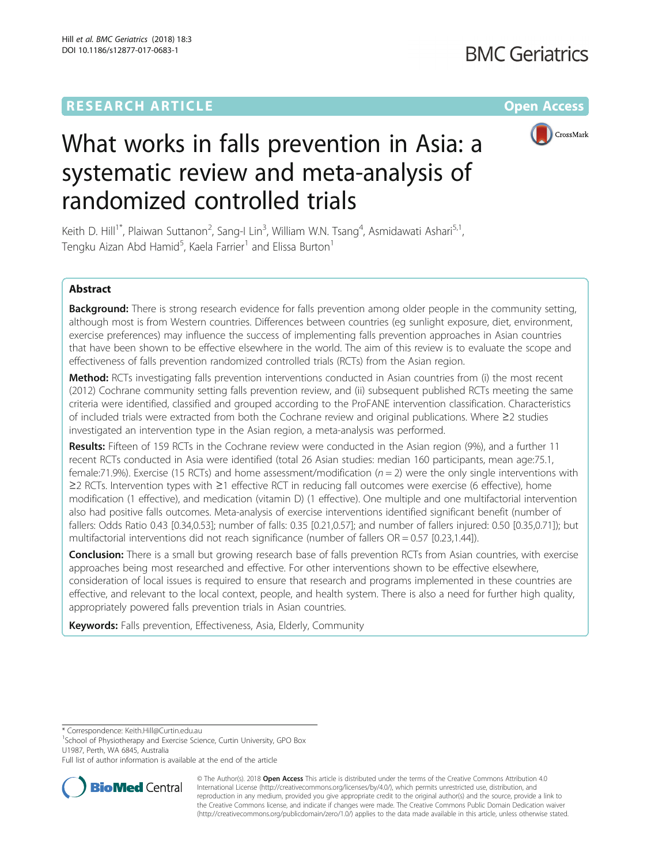# **RESEARCH ARTICLE Example 2014 12:30 The Community Community Community Community Community Community Community**



# What works in falls prevention in Asia: a systematic review and meta-analysis of randomized controlled trials

Keith D. Hill<sup>1\*</sup>, Plaiwan Suttanon<sup>2</sup>, Sang-I Lin<sup>3</sup>, William W.N. Tsang<sup>4</sup>, Asmidawati Ashari<sup>5,1</sup>, Tengku Aizan Abd Hamid<sup>5</sup>, Kaela Farrier<sup>1</sup> and Elissa Burton<sup>1</sup>

# Abstract

Background: There is strong research evidence for falls prevention among older people in the community setting, although most is from Western countries. Differences between countries (eg sunlight exposure, diet, environment, exercise preferences) may influence the success of implementing falls prevention approaches in Asian countries that have been shown to be effective elsewhere in the world. The aim of this review is to evaluate the scope and effectiveness of falls prevention randomized controlled trials (RCTs) from the Asian region.

Method: RCTs investigating falls prevention interventions conducted in Asian countries from (i) the most recent (2012) Cochrane community setting falls prevention review, and (ii) subsequent published RCTs meeting the same criteria were identified, classified and grouped according to the ProFANE intervention classification. Characteristics of included trials were extracted from both the Cochrane review and original publications. Where ≥2 studies investigated an intervention type in the Asian region, a meta-analysis was performed.

Results: Fifteen of 159 RCTs in the Cochrane review were conducted in the Asian region (9%), and a further 11 recent RCTs conducted in Asia were identified (total 26 Asian studies: median 160 participants, mean age:75.1, female:71.9%). Exercise (15 RCTs) and home assessment/modification ( $n = 2$ ) were the only single interventions with ≥2 RCTs. Intervention types with ≥1 effective RCT in reducing fall outcomes were exercise (6 effective), home modification (1 effective), and medication (vitamin D) (1 effective). One multiple and one multifactorial intervention also had positive falls outcomes. Meta-analysis of exercise interventions identified significant benefit (number of fallers: Odds Ratio 0.43 [0.34,0.53]; number of falls: 0.35 [0.21,0.57]; and number of fallers injured: 0.50 [0.35,0.71]); but multifactorial interventions did not reach significance (number of fallers OR = 0.57 [0.23,1.44]).

**Conclusion:** There is a small but growing research base of falls prevention RCTs from Asian countries, with exercise approaches being most researched and effective. For other interventions shown to be effective elsewhere, consideration of local issues is required to ensure that research and programs implemented in these countries are effective, and relevant to the local context, people, and health system. There is also a need for further high quality, appropriately powered falls prevention trials in Asian countries.

Keywords: Falls prevention, Effectiveness, Asia, Elderly, Community

<sup>1</sup>School of Physiotherapy and Exercise Science, Curtin University, GPO Box U1987, Perth, WA 6845, Australia

Full list of author information is available at the end of the article



© The Author(s). 2018 Open Access This article is distributed under the terms of the Creative Commons Attribution 4.0 International License [\(http://creativecommons.org/licenses/by/4.0/](http://creativecommons.org/licenses/by/4.0/)), which permits unrestricted use, distribution, and reproduction in any medium, provided you give appropriate credit to the original author(s) and the source, provide a link to the Creative Commons license, and indicate if changes were made. The Creative Commons Public Domain Dedication waiver [\(http://creativecommons.org/publicdomain/zero/1.0/](http://creativecommons.org/publicdomain/zero/1.0/)) applies to the data made available in this article, unless otherwise stated.

<sup>\*</sup> Correspondence: [Keith.Hill@Curtin.edu.au](mailto:Keith.Hill@Curtin.edu.au) <sup>1</sup>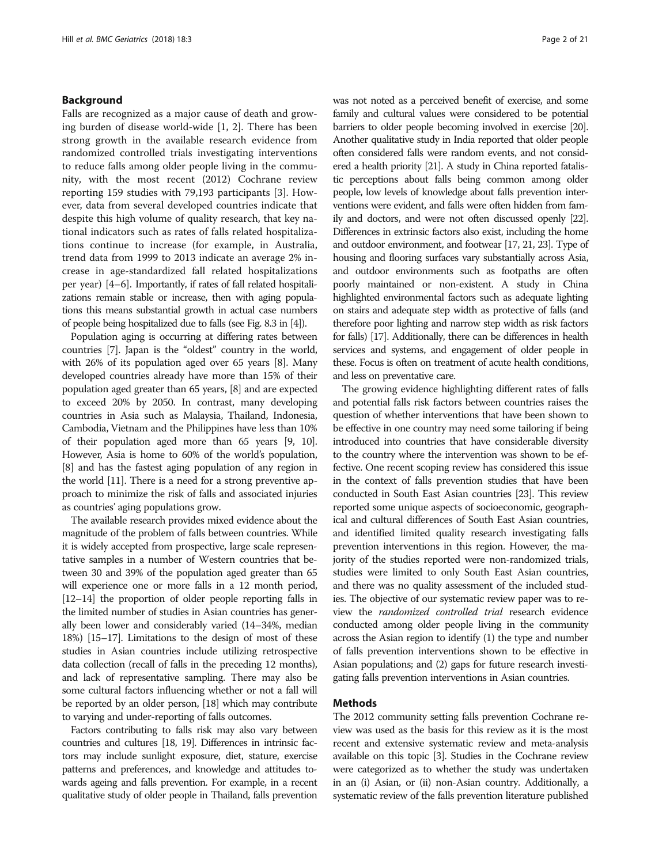# Background

Falls are recognized as a major cause of death and growing burden of disease world-wide [[1, 2](#page-19-0)]. There has been strong growth in the available research evidence from randomized controlled trials investigating interventions to reduce falls among older people living in the community, with the most recent (2012) Cochrane review reporting 159 studies with 79,193 participants [[3\]](#page-19-0). However, data from several developed countries indicate that despite this high volume of quality research, that key national indicators such as rates of falls related hospitalizations continue to increase (for example, in Australia, trend data from 1999 to 2013 indicate an average 2% increase in age-standardized fall related hospitalizations per year) [[4](#page-19-0)–[6](#page-19-0)]. Importantly, if rates of fall related hospitalizations remain stable or increase, then with aging populations this means substantial growth in actual case numbers of people being hospitalized due to falls (see Fig. 8.3 in [\[4](#page-19-0)]).

Population aging is occurring at differing rates between countries [[7](#page-19-0)]. Japan is the "oldest" country in the world, with 26% of its population aged over 65 years [[8\]](#page-19-0). Many developed countries already have more than 15% of their population aged greater than 65 years, [\[8\]](#page-19-0) and are expected to exceed 20% by 2050. In contrast, many developing countries in Asia such as Malaysia, Thailand, Indonesia, Cambodia, Vietnam and the Philippines have less than 10% of their population aged more than 65 years [\[9, 10](#page-19-0)]. However, Asia is home to 60% of the world's population, [[8](#page-19-0)] and has the fastest aging population of any region in the world [\[11\]](#page-19-0). There is a need for a strong preventive approach to minimize the risk of falls and associated injuries as countries' aging populations grow.

The available research provides mixed evidence about the magnitude of the problem of falls between countries. While it is widely accepted from prospective, large scale representative samples in a number of Western countries that between 30 and 39% of the population aged greater than 65 will experience one or more falls in a 12 month period, [[12](#page-19-0)–[14](#page-19-0)] the proportion of older people reporting falls in the limited number of studies in Asian countries has generally been lower and considerably varied (14–34%, median 18%) [\[15](#page-19-0)–[17\]](#page-19-0). Limitations to the design of most of these studies in Asian countries include utilizing retrospective data collection (recall of falls in the preceding 12 months), and lack of representative sampling. There may also be some cultural factors influencing whether or not a fall will be reported by an older person, [\[18\]](#page-19-0) which may contribute to varying and under-reporting of falls outcomes.

Factors contributing to falls risk may also vary between countries and cultures [\[18](#page-19-0), [19](#page-19-0)]. Differences in intrinsic factors may include sunlight exposure, diet, stature, exercise patterns and preferences, and knowledge and attitudes towards ageing and falls prevention. For example, in a recent qualitative study of older people in Thailand, falls prevention was not noted as a perceived benefit of exercise, and some family and cultural values were considered to be potential barriers to older people becoming involved in exercise [\[20\]](#page-19-0). Another qualitative study in India reported that older people often considered falls were random events, and not considered a health priority [[21\]](#page-19-0). A study in China reported fatalistic perceptions about falls being common among older people, low levels of knowledge about falls prevention interventions were evident, and falls were often hidden from family and doctors, and were not often discussed openly [\[22\]](#page-19-0). Differences in extrinsic factors also exist, including the home and outdoor environment, and footwear [\[17, 21, 23](#page-19-0)]. Type of housing and flooring surfaces vary substantially across Asia, and outdoor environments such as footpaths are often poorly maintained or non-existent. A study in China highlighted environmental factors such as adequate lighting on stairs and adequate step width as protective of falls (and therefore poor lighting and narrow step width as risk factors for falls) [\[17](#page-19-0)]. Additionally, there can be differences in health services and systems, and engagement of older people in these. Focus is often on treatment of acute health conditions, and less on preventative care.

The growing evidence highlighting different rates of falls and potential falls risk factors between countries raises the question of whether interventions that have been shown to be effective in one country may need some tailoring if being introduced into countries that have considerable diversity to the country where the intervention was shown to be effective. One recent scoping review has considered this issue in the context of falls prevention studies that have been conducted in South East Asian countries [\[23\]](#page-19-0). This review reported some unique aspects of socioeconomic, geographical and cultural differences of South East Asian countries, and identified limited quality research investigating falls prevention interventions in this region. However, the majority of the studies reported were non-randomized trials, studies were limited to only South East Asian countries, and there was no quality assessment of the included studies. The objective of our systematic review paper was to review the randomized controlled trial research evidence conducted among older people living in the community across the Asian region to identify (1) the type and number of falls prevention interventions shown to be effective in Asian populations; and (2) gaps for future research investigating falls prevention interventions in Asian countries.

# Methods

The 2012 community setting falls prevention Cochrane review was used as the basis for this review as it is the most recent and extensive systematic review and meta-analysis available on this topic [\[3\]](#page-19-0). Studies in the Cochrane review were categorized as to whether the study was undertaken in an (i) Asian, or (ii) non-Asian country. Additionally, a systematic review of the falls prevention literature published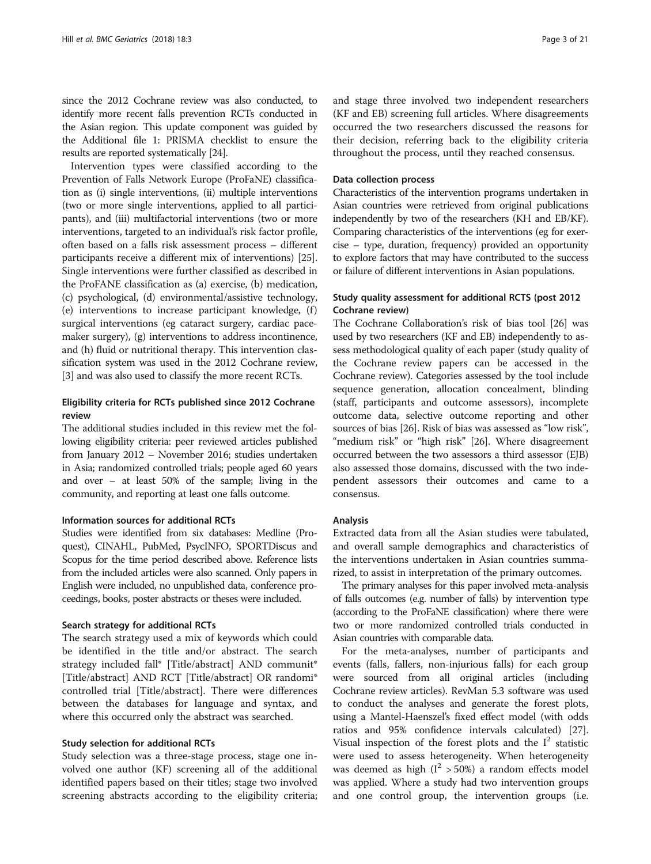since the 2012 Cochrane review was also conducted, to identify more recent falls prevention RCTs conducted in the Asian region. This update component was guided by the Additional file [1](#page-19-0): PRISMA checklist to ensure the results are reported systematically [\[24\]](#page-19-0).

Intervention types were classified according to the Prevention of Falls Network Europe (ProFaNE) classification as (i) single interventions, (ii) multiple interventions (two or more single interventions, applied to all participants), and (iii) multifactorial interventions (two or more interventions, targeted to an individual's risk factor profile, often based on a falls risk assessment process – different participants receive a different mix of interventions) [[25](#page-19-0)]. Single interventions were further classified as described in the ProFANE classification as (a) exercise, (b) medication, (c) psychological, (d) environmental/assistive technology, (e) interventions to increase participant knowledge,  $(f)$ surgical interventions (eg cataract surgery, cardiac pacemaker surgery), (g) interventions to address incontinence, and (h) fluid or nutritional therapy. This intervention classification system was used in the 2012 Cochrane review, [[3\]](#page-19-0) and was also used to classify the more recent RCTs.

# Eligibility criteria for RCTs published since 2012 Cochrane review

The additional studies included in this review met the following eligibility criteria: peer reviewed articles published from January 2012 – November 2016; studies undertaken in Asia; randomized controlled trials; people aged 60 years and over – at least 50% of the sample; living in the community, and reporting at least one falls outcome.

# Information sources for additional RCTs

Studies were identified from six databases: Medline (Proquest), CINAHL, PubMed, PsycINFO, SPORTDiscus and Scopus for the time period described above. Reference lists from the included articles were also scanned. Only papers in English were included, no unpublished data, conference proceedings, books, poster abstracts or theses were included.

# Search strategy for additional RCTs

The search strategy used a mix of keywords which could be identified in the title and/or abstract. The search strategy included fall\* [Title/abstract] AND communit\* [Title/abstract] AND RCT [Title/abstract] OR randomi\* controlled trial [Title/abstract]. There were differences between the databases for language and syntax, and where this occurred only the abstract was searched.

# Study selection for additional RCTs

Study selection was a three-stage process, stage one involved one author (KF) screening all of the additional identified papers based on their titles; stage two involved screening abstracts according to the eligibility criteria; and stage three involved two independent researchers (KF and EB) screening full articles. Where disagreements occurred the two researchers discussed the reasons for their decision, referring back to the eligibility criteria throughout the process, until they reached consensus.

### Data collection process

Characteristics of the intervention programs undertaken in Asian countries were retrieved from original publications independently by two of the researchers (KH and EB/KF). Comparing characteristics of the interventions (eg for exercise – type, duration, frequency) provided an opportunity to explore factors that may have contributed to the success or failure of different interventions in Asian populations.

# Study quality assessment for additional RCTS (post 2012 Cochrane review)

The Cochrane Collaboration's risk of bias tool [\[26](#page-19-0)] was used by two researchers (KF and EB) independently to assess methodological quality of each paper (study quality of the Cochrane review papers can be accessed in the Cochrane review). Categories assessed by the tool include sequence generation, allocation concealment, blinding (staff, participants and outcome assessors), incomplete outcome data, selective outcome reporting and other sources of bias [\[26\]](#page-19-0). Risk of bias was assessed as "low risk", "medium risk" or "high risk" [[26](#page-19-0)]. Where disagreement occurred between the two assessors a third assessor (EJB) also assessed those domains, discussed with the two independent assessors their outcomes and came to a consensus.

### Analysis

Extracted data from all the Asian studies were tabulated, and overall sample demographics and characteristics of the interventions undertaken in Asian countries summarized, to assist in interpretation of the primary outcomes.

The primary analyses for this paper involved meta-analysis of falls outcomes (e.g. number of falls) by intervention type (according to the ProFaNE classification) where there were two or more randomized controlled trials conducted in Asian countries with comparable data.

For the meta-analyses, number of participants and events (falls, fallers, non-injurious falls) for each group were sourced from all original articles (including Cochrane review articles). RevMan 5.3 software was used to conduct the analyses and generate the forest plots, using a Mantel-Haenszel's fixed effect model (with odds ratios and 95% confidence intervals calculated) [[27](#page-19-0)]. Visual inspection of the forest plots and the  $I^2$  statistic were used to assess heterogeneity. When heterogeneity was deemed as high ( $I^2 > 50\%$ ) a random effects model was applied. Where a study had two intervention groups and one control group, the intervention groups (i.e.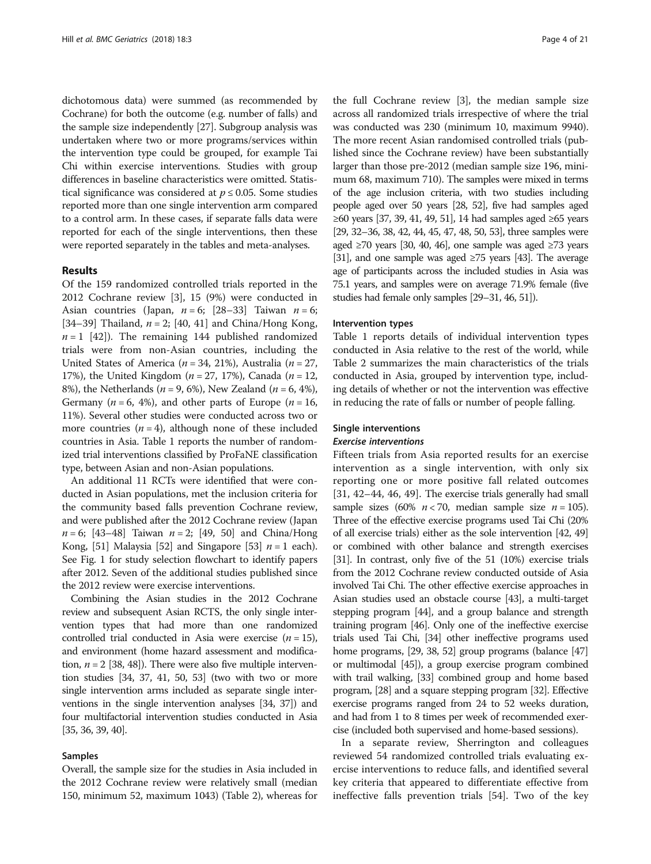dichotomous data) were summed (as recommended by Cochrane) for both the outcome (e.g. number of falls) and the sample size independently [\[27\]](#page-19-0). Subgroup analysis was undertaken where two or more programs/services within the intervention type could be grouped, for example Tai Chi within exercise interventions. Studies with group differences in baseline characteristics were omitted. Statistical significance was considered at  $p \le 0.05$ . Some studies reported more than one single intervention arm compared to a control arm. In these cases, if separate falls data were reported for each of the single interventions, then these were reported separately in the tables and meta-analyses.

### Results

Of the 159 randomized controlled trials reported in the 2012 Cochrane review [\[3](#page-19-0)], 15 (9%) were conducted in Asian countries (Japan,  $n = 6$ ; [\[28](#page-19-0)–[33\]](#page-20-0) Taiwan  $n = 6$ ; [[34](#page-20-0)–[39](#page-20-0)] Thailand,  $n = 2$ ; [\[40](#page-20-0), [41](#page-20-0)] and China/Hong Kong,  $n = 1$  [\[42\]](#page-20-0)). The remaining 144 published randomized trials were from non-Asian countries, including the United States of America ( $n = 34$ , 21%), Australia ( $n = 27$ , 17%), the United Kingdom ( $n = 27, 17$ %), Canada ( $n = 12$ , 8%), the Netherlands ( $n = 9, 6\%$ ), New Zealand ( $n = 6, 4\%$ ), Germany ( $n = 6$ , 4%), and other parts of Europe ( $n = 16$ , 11%). Several other studies were conducted across two or more countries  $(n = 4)$ , although none of these included countries in Asia. Table [1](#page-4-0) reports the number of randomized trial interventions classified by ProFaNE classification type, between Asian and non-Asian populations.

An additional 11 RCTs were identified that were conducted in Asian populations, met the inclusion criteria for the community based falls prevention Cochrane review, and were published after the 2012 Cochrane review (Japan  $n = 6$ ; [[43](#page-20-0)–[48](#page-20-0)] Taiwan  $n = 2$ ; [\[49, 50\]](#page-20-0) and China/Hong Kong, [\[51\]](#page-20-0) Malaysia [[52](#page-20-0)] and Singapore [\[53\]](#page-20-0)  $n = 1$  each). See Fig. [1](#page-5-0) for study selection flowchart to identify papers after 2012. Seven of the additional studies published since the 2012 review were exercise interventions.

Combining the Asian studies in the 2012 Cochrane review and subsequent Asian RCTS, the only single intervention types that had more than one randomized controlled trial conducted in Asia were exercise  $(n = 15)$ , and environment (home hazard assessment and modification,  $n = 2$  [\[38, 48](#page-20-0)]). There were also five multiple intervention studies [[34, 37](#page-20-0), [41](#page-20-0), [50](#page-20-0), [53](#page-20-0)] (two with two or more single intervention arms included as separate single interventions in the single intervention analyses [\[34, 37\]](#page-20-0)) and four multifactorial intervention studies conducted in Asia [[35](#page-20-0), [36](#page-20-0), [39](#page-20-0), [40](#page-20-0)].

# Samples

Overall, the sample size for the studies in Asia included in the 2012 Cochrane review were relatively small (median 150, minimum 52, maximum 1043) (Table [2\)](#page-6-0), whereas for

the full Cochrane review [[3\]](#page-19-0), the median sample size across all randomized trials irrespective of where the trial was conducted was 230 (minimum 10, maximum 9940). The more recent Asian randomised controlled trials (published since the Cochrane review) have been substantially larger than those pre-2012 (median sample size 196, minimum 68, maximum 710). The samples were mixed in terms of the age inclusion criteria, with two studies including people aged over 50 years [\[28](#page-19-0), [52](#page-20-0)], five had samples aged ≥60 years [\[37](#page-20-0), [39](#page-20-0), [41, 49, 51\]](#page-20-0), 14 had samples aged ≥65 years [[29,](#page-19-0) [32](#page-20-0)–[36, 38, 42](#page-20-0), [44](#page-20-0), [45](#page-20-0), [47](#page-20-0), [48](#page-20-0), [50](#page-20-0), [53](#page-20-0)], three samples were aged ≥70 years [\[30](#page-19-0), [40, 46](#page-20-0)], one sample was aged ≥73 years [[31\]](#page-20-0), and one sample was aged ≥75 years [\[43\]](#page-20-0). The average age of participants across the included studies in Asia was 75.1 years, and samples were on average 71.9% female (five studies had female only samples [\[29](#page-19-0)–[31, 46, 51](#page-20-0)]).

#### Intervention types

Table [1](#page-4-0) reports details of individual intervention types conducted in Asia relative to the rest of the world, while Table [2](#page-6-0) summarizes the main characteristics of the trials conducted in Asia, grouped by intervention type, including details of whether or not the intervention was effective in reducing the rate of falls or number of people falling.

# Single interventions

#### Exercise interventions

Fifteen trials from Asia reported results for an exercise intervention as a single intervention, with only six reporting one or more positive fall related outcomes [[31, 42](#page-20-0)–[44](#page-20-0), [46, 49](#page-20-0)]. The exercise trials generally had small sample sizes (60%  $n < 70$ , median sample size  $n = 105$ ). Three of the effective exercise programs used Tai Chi (20% of all exercise trials) either as the sole intervention [\[42, 49](#page-20-0)] or combined with other balance and strength exercises [[31](#page-20-0)]. In contrast, only five of the 51 (10%) exercise trials from the 2012 Cochrane review conducted outside of Asia involved Tai Chi. The other effective exercise approaches in Asian studies used an obstacle course [\[43\]](#page-20-0), a multi-target stepping program [\[44\]](#page-20-0), and a group balance and strength training program [[46](#page-20-0)]. Only one of the ineffective exercise trials used Tai Chi, [[34\]](#page-20-0) other ineffective programs used home programs, [[29](#page-19-0), [38, 52](#page-20-0)] group programs (balance [\[47](#page-20-0)] or multimodal [[45](#page-20-0)]), a group exercise program combined with trail walking, [[33](#page-20-0)] combined group and home based program, [\[28](#page-19-0)] and a square stepping program [\[32\]](#page-20-0). Effective exercise programs ranged from 24 to 52 weeks duration, and had from 1 to 8 times per week of recommended exercise (included both supervised and home-based sessions).

In a separate review, Sherrington and colleagues reviewed 54 randomized controlled trials evaluating exercise interventions to reduce falls, and identified several key criteria that appeared to differentiate effective from ineffective falls prevention trials [\[54\]](#page-20-0). Two of the key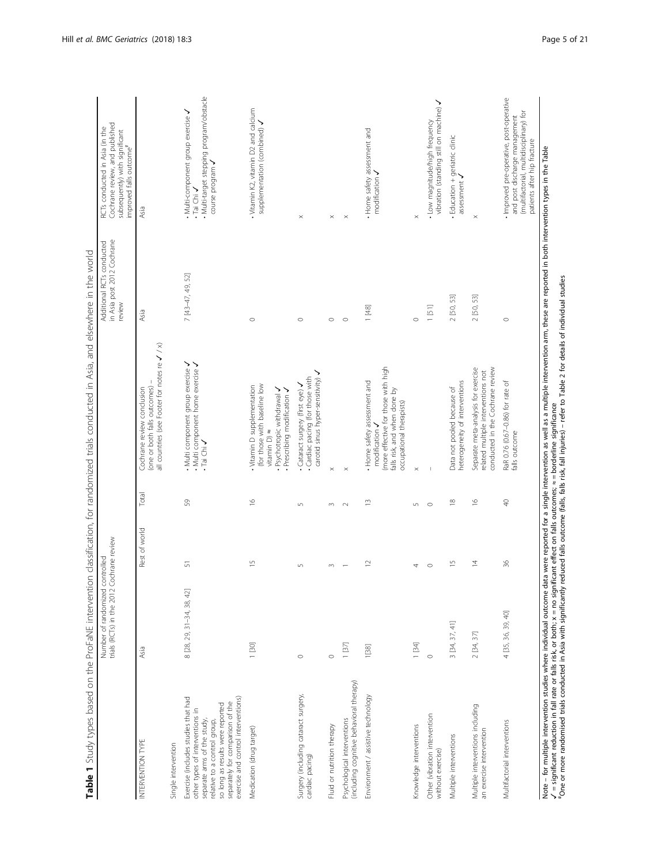|                                                                                                                                                                                                                                                      | trials (RCTs) in the 2012 Cochrane review<br>Number of randomized controlled |                |                    |                                                                                                                                                   | in Asia post 2012 Cochrane<br>Additional RCTs conducted<br>review | Cochrane review, and published<br>RCTs conducted in Asia (in the<br>subsequently) with significant<br>improved falls outcome <sup>#</sup>           |
|------------------------------------------------------------------------------------------------------------------------------------------------------------------------------------------------------------------------------------------------------|------------------------------------------------------------------------------|----------------|--------------------|---------------------------------------------------------------------------------------------------------------------------------------------------|-------------------------------------------------------------------|-----------------------------------------------------------------------------------------------------------------------------------------------------|
| INTERVENTION TYPE                                                                                                                                                                                                                                    | Asia                                                                         | Rest of world  | Total              | all countries (see Footer for notes re $\checkmark$ / x)<br>(one or both falls outcomes)<br>Cochrane review conclusion                            | Asia                                                              | Asia                                                                                                                                                |
| Single intervention                                                                                                                                                                                                                                  |                                                                              |                |                    |                                                                                                                                                   |                                                                   |                                                                                                                                                     |
| Exercise (includes studies that had<br>exercise and control interventions)<br>separately for comparison of the<br>so long as results were reported<br>other types of interventions in<br>separate arms of the study,<br>relative to a control group, | 8 [28, 29, 31-34, 38, 42]                                                    | 51             | 59                 | Multi component group exercise<br>. Multi component home exercise<br>· Tai Chi /                                                                  | 7 [43-47, 49, 52]                                                 | . Multi-target stepping program/obstacle<br>· Multi-component group exercise /<br>course program /<br>$\overline{\cdot}$ Tai Chi $\overline{\cdot}$ |
| Medication (drug target)                                                                                                                                                                                                                             | $1$ [30]                                                                     | $\overline{1}$ | $\frac{6}{1}$      | (for those with baseline low<br>Vitamin D supplementation<br>· Psychotropic withdrawal /<br>· Prescribing modification /<br>vitamin $D$ $\approx$ | $\circ$                                                           | . Vitamin K2, vitamin D2 and caldum<br>↘<br>supplementation (combined)                                                                              |
| Surgery (including cataract surgery,<br>cardiac pacing)                                                                                                                                                                                              | $\circ$                                                                      | $\sqrt{2}$     | $\sqrt{2}$         | carotid sinus hyper-sensitivity) /<br>Cardiac pacing (for those with<br>· Cataract surgery (first eye) /                                          | $\circ$                                                           | $\times$                                                                                                                                            |
| Fluid or nutrition therapy                                                                                                                                                                                                                           | $\circ$                                                                      | $\infty$       | $\sim$             | $\times$                                                                                                                                          | $\circ$                                                           | $\times$                                                                                                                                            |
| (including cognitive behavioral therapy)<br>Psychological interventions                                                                                                                                                                              | 1 [37]                                                                       |                | $\sim$             | $\times$                                                                                                                                          | $\circ$                                                           | $\times$                                                                                                                                            |
| Environment / assistive technology                                                                                                                                                                                                                   | $1\, [38]$                                                                   | $\approx$      | $\frac{1}{2}$      | (more effective for those with high<br>. Home safety assessment and<br>falls risk, and when done by<br>occupational therapists)<br>modification v | 1[48]                                                             | . Home safety assessment and<br>modification /                                                                                                      |
| Knowledge interventions                                                                                                                                                                                                                              | $1 \, [34]$                                                                  | 4              | 5                  | $\times$                                                                                                                                          | $\circ$                                                           | ×                                                                                                                                                   |
| Other (vibration intervention<br>without exercise)                                                                                                                                                                                                   | $\circ$                                                                      | $\circ$        | $\circ$            |                                                                                                                                                   | $1$ [51]                                                          | vibration (standing still on machine) /<br>· Low magnitude/high frequency                                                                           |
| Multiple interventions                                                                                                                                                                                                                               | 3 [34, 37, 41]                                                               | $\frac{5}{1}$  | $\frac{\infty}{2}$ | heterogeneity of interventions<br>Data not pooled because of                                                                                      | 2 [50, 53]                                                        | · Education + geriatric clinic<br>assessment /                                                                                                      |
| Multiple interventions including<br>an exercise intervention                                                                                                                                                                                         | $\overline{37}$<br>2 [34,                                                    | $\overline{4}$ | $\frac{6}{1}$      | Separate meta-analysis for exercise<br>conducted in the Cochrane review<br>related multiple interventions not                                     | 2 [50, 53]                                                        | $\times$                                                                                                                                            |
| Multifactorial interventions                                                                                                                                                                                                                         | 4 [35, 36, 39, 40]                                                           | 96             | $\Theta$           | RaR 0.76 (0.67-0.86) for rate of<br>falls outcome                                                                                                 | $\circ$                                                           | · Improved pre-operative, post-operative<br>(multifactorial, multidisciplinary) for<br>and post discharge management<br>patients after hip fracture |

<span id="page-4-0"></span>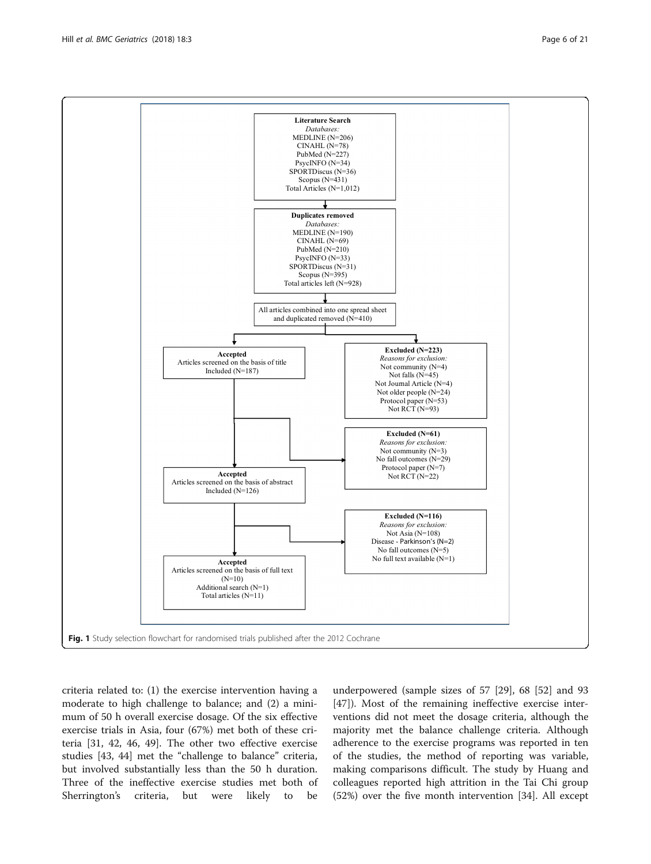criteria related to: (1) the exercise intervention having a moderate to high challenge to balance; and (2) a minimum of 50 h overall exercise dosage. Of the six effective exercise trials in Asia, four (67%) met both of these criteria [[31, 42](#page-20-0), [46, 49\]](#page-20-0). The other two effective exercise studies [\[43](#page-20-0), [44](#page-20-0)] met the "challenge to balance" criteria, but involved substantially less than the 50 h duration. Three of the ineffective exercise studies met both of Sherrington's criteria, but were likely to be

underpowered (sample sizes of 57 [[29\]](#page-19-0), 68 [\[52](#page-20-0)] and 93 [[47\]](#page-20-0)). Most of the remaining ineffective exercise interventions did not meet the dosage criteria, although the majority met the balance challenge criteria. Although adherence to the exercise programs was reported in ten of the studies, the method of reporting was variable, making comparisons difficult. The study by Huang and colleagues reported high attrition in the Tai Chi group (52%) over the five month intervention [\[34\]](#page-20-0). All except

<span id="page-5-0"></span>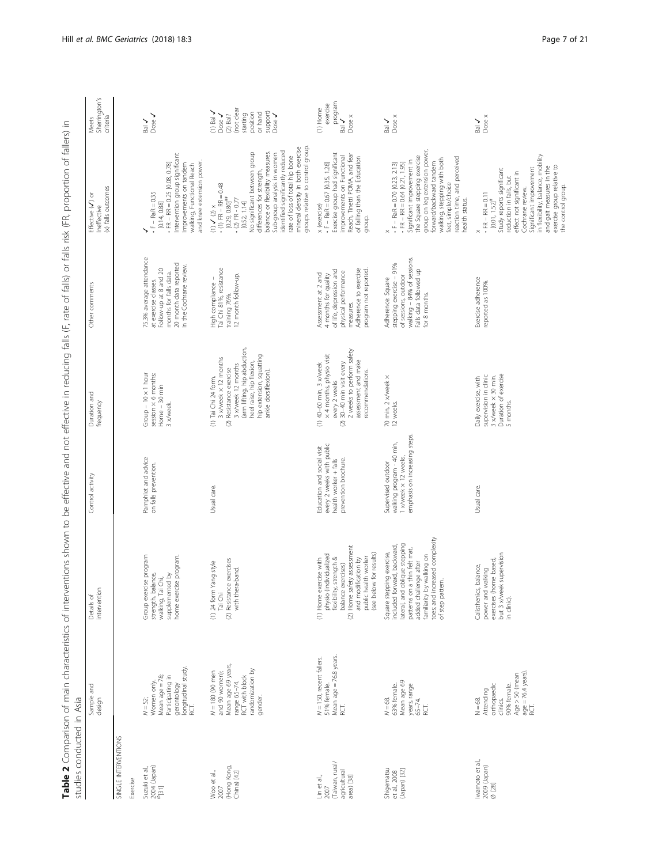| J                              |                                                                                                               |
|--------------------------------|---------------------------------------------------------------------------------------------------------------|
| ١                              |                                                                                                               |
| í<br>j<br>l<br>l               |                                                                                                               |
| ī                              |                                                                                                               |
|                                |                                                                                                               |
| in one it                      |                                                                                                               |
|                                |                                                                                                               |
| i                              |                                                                                                               |
| ļ<br>¢                         |                                                                                                               |
|                                |                                                                                                               |
| י<br>ב<br>ו<br>ו               |                                                                                                               |
| j                              |                                                                                                               |
| $\frac{1}{2}$<br>$\frac{1}{2}$ |                                                                                                               |
|                                |                                                                                                               |
| $-1$                           |                                                                                                               |
|                                |                                                                                                               |
| ֦֧֚֝<br>$\frac{1}{2}$          |                                                                                                               |
|                                |                                                                                                               |
| $-1 - 1 - 1 - 1 - 1 - 1$<br>١  |                                                                                                               |
|                                |                                                                                                               |
|                                |                                                                                                               |
| ļ                              |                                                                                                               |
| $\overline{\phantom{a}}$       |                                                                                                               |
| j                              |                                                                                                               |
| ת<br>:                         |                                                                                                               |
| j                              |                                                                                                               |
| S<br>١                         |                                                                                                               |
| أحمد مناحبن<br>J               |                                                                                                               |
|                                |                                                                                                               |
| j                              |                                                                                                               |
| ì                              |                                                                                                               |
| j                              |                                                                                                               |
| it/11/11/11                    |                                                                                                               |
|                                |                                                                                                               |
| $\ddot{\phantom{0}}$           |                                                                                                               |
| $\frac{1}{2}$<br>j             |                                                                                                               |
| is here controlled by the<br>1 |                                                                                                               |
| )<br>5<br>)                    |                                                                                                               |
|                                |                                                                                                               |
| らこりり                           |                                                                                                               |
|                                |                                                                                                               |
|                                |                                                                                                               |
|                                |                                                                                                               |
|                                |                                                                                                               |
| i                              |                                                                                                               |
| ٍ<br>پ<br>$\frac{1}{2}$        |                                                                                                               |
| å                              |                                                                                                               |
|                                |                                                                                                               |
| nventi<br>j<br>ï               |                                                                                                               |
| nter                           |                                                                                                               |
|                                |                                                                                                               |
|                                |                                                                                                               |
|                                |                                                                                                               |
|                                |                                                                                                               |
|                                |                                                                                                               |
| i<br>ì                         |                                                                                                               |
| $\frac{1}{2}$<br>i<br>l        |                                                                                                               |
| l<br>l<br>I                    |                                                                                                               |
|                                |                                                                                                               |
| ļ                              | ׇ֚֚֕֕                                                                                                         |
|                                | l<br>j                                                                                                        |
| ļ                              |                                                                                                               |
| l<br>l                         | Ī<br>ׇ֚֕                                                                                                      |
| $\ddot{ }$<br>Ī                | l                                                                                                             |
| ļ<br>J<br>i                    | $\frac{1}{2}$<br>ׇ֖֬֕                                                                                         |
| j<br>j                         | l<br>ļ                                                                                                        |
| ί<br>I                         | ֘֒<br>ׇ֘֒<br>ׇ֖֖֖֖֖֖֖֖֖֖֖֧֖֖֧֪֪֪֪֪֪֪֪֪֪֪֪֪֪֪֪֪֪֪֪֪֪֪֪֪֪֪֪֪֪֪֪֪֪֪֚֚֚֚֚֚֚֚֚֚֚֚֚֚֚֚֚֚֚֚֚֚֚֚֚֚֚֬֕֝֓֞֝֓֞<br>י<br>י |
| ۔<br>مام                       | $\overline{\phantom{a}}$<br>l                                                                                 |
| i<br>j                         | $\overline{\phantom{a}}$                                                                                      |
| I                              | $\frac{1}{\epsilon}$                                                                                          |
|                                |                                                                                                               |

<span id="page-6-0"></span>

| studies conducted in Asia                                            |                                                                                                                            |                                                                                                                                                                                                                                                     |                                                                                                          |                                                                                                                                                                                                                 |                                                                                                                                                              |                                                                                                                                                                                                                                                                                                                                                                                          |                                                                                                                             |
|----------------------------------------------------------------------|----------------------------------------------------------------------------------------------------------------------------|-----------------------------------------------------------------------------------------------------------------------------------------------------------------------------------------------------------------------------------------------------|----------------------------------------------------------------------------------------------------------|-----------------------------------------------------------------------------------------------------------------------------------------------------------------------------------------------------------------|--------------------------------------------------------------------------------------------------------------------------------------------------------------|------------------------------------------------------------------------------------------------------------------------------------------------------------------------------------------------------------------------------------------------------------------------------------------------------------------------------------------------------------------------------------------|-----------------------------------------------------------------------------------------------------------------------------|
|                                                                      | Sample and<br>design                                                                                                       | intervention<br>Details of                                                                                                                                                                                                                          | Control activity                                                                                         | Duration and<br>frequency                                                                                                                                                                                       | Other comments                                                                                                                                               | (x) falls outcomes<br>Effective (J) or<br>Ineffective                                                                                                                                                                                                                                                                                                                                    | Sherrington's<br>criteria <sup>*</sup><br><b>Meets</b>                                                                      |
| SINGLE INTERVENTIONS                                                 |                                                                                                                            |                                                                                                                                                                                                                                                     |                                                                                                          |                                                                                                                                                                                                                 |                                                                                                                                                              |                                                                                                                                                                                                                                                                                                                                                                                          |                                                                                                                             |
| Exercise                                                             |                                                                                                                            |                                                                                                                                                                                                                                                     |                                                                                                          |                                                                                                                                                                                                                 |                                                                                                                                                              |                                                                                                                                                                                                                                                                                                                                                                                          |                                                                                                                             |
| Suzuki et al.,<br>2004 (Japan)<br>$\frac{1}{2}$                      | longitudinal study.<br>RCT.<br>Mean age = 78;<br>Participating in<br>Women only.<br>gerontology<br>$N = 52$ ;              | Group exercise program<br>home exercise program.<br>strength, balance,<br>supplemented by<br>walking, Tai Chi,                                                                                                                                      | Pamphlet and advice<br>on falls prevention.                                                              | Group $-10 \times 1$ hour<br>session x 6 months;<br>Home $-30$ min<br>3 x/week.                                                                                                                                 | 75.3% average attendance<br>20 month data reported<br>in the Cochrane review.<br>Follow-up at 8 and 20<br>months for falls data.<br>at exercise classes.     | Intervention group significant<br>and knee extension power.<br>$\cdot$ FR - RR = 0.25 [0.08, 0.78]<br>improvements on tandem<br>walking, Functional Reach<br>$\cdot$ F – RaR = 0.35<br>[0.14, 0.88]                                                                                                                                                                                      | Dose $\checkmark$<br>Bal V                                                                                                  |
| (Hong Kong,<br>China) [42]<br>Noo et al.,<br>2007                    | Mean age 69 years,<br>randomization by<br>$N = 180$ (90 men<br>and 90 women);<br>RCT with block<br>range 65-74.<br>gender. | exercises<br>(1) 24 form Yang style<br>-band.<br>(2) Resistance<br>with thera<br>Tai Chi                                                                                                                                                            | Usual care.                                                                                              | (arm lifting, hip abduction,<br>hip extension, squatting<br>3 x/week x 12 months<br>heel raise, hip flexion,<br>3 x/week 12 months<br>(2) Resistance exercise<br>ankle dorsiflexion).<br>$(1)$ Tai Chi 24 form, | Tai Chi 81%, resistance<br>12 month follow-up.<br>High compliance -<br>training 76%.                                                                         | groups relative to control group.<br>mineral density in both exercise<br>identified significantly reduced<br>balance or flexibility measures.<br>No significant between group<br>Sub-group analysis in women<br>rate of loss of total hip bone<br>differences for strength,<br>$(1)$ FR - RR = 0.48<br>$[0.29, 0.80]^{**}$<br>$(2)$ FR - 0.77<br>[0.52, 1.14]<br>$(1) \times (2) \times$ | not clear<br>$\frac{1}{2}$ Bal $\frac{1}{2}$<br>Support)<br>Dose<br>position<br>or hand<br>starting<br>$(2)$ Bal?<br>Dose V |
| (Taiwan, rural/<br>agricultural<br>area) [38]<br>Lin et al.,<br>2007 | Mean age = 76.8 years<br>N = 150, recent fallers.<br>51% female.<br><b>RC</b>                                              | (2) Home safety assessment<br>r for results)<br>physio (individualized<br>public health worker<br>strength &<br>and modification by<br>(1) Home exercise with<br>balance exercises)<br>(see below<br>flexibility,                                   | every 2 weeks with public<br>Education and social visit<br>prevention brochure.<br>health worker + falls | 2 weeks to perform safety<br>x 4 months, physio visit<br>assessment and make<br>(2) 30-40 min visit every<br>(1) 40-60 min, 3 x/week<br>recommendations.<br>every 2 weeks                                       | Adherence to exercise<br>of life, depression and<br>program not reported<br>physical performance<br>Assessment at 2 and<br>4 months for quality<br>measures. | Exercise group had significant<br>Reach, Tinetti POMA, and fear<br>improvements on Functional<br>of falling than the Education<br>$\cdot$ F - RaR = 0.67 [0.35, 1.28]<br>x (exercise)<br>group.                                                                                                                                                                                          | program<br>exercise<br>$(1)$ Home<br>Dose x<br>Bal $\checkmark$                                                             |
| Shigematsu<br>(Japan) [32]<br>et al., 2008                           | Mean age 69<br>63% female.<br>years, range<br>$N = 68$ .<br>65-74.<br><b>Q</b>                                             | familiarity by walking on<br>toes; and increased complexity<br>lateral, and oblique stepping<br>included forward, backward,<br>patterns on a thin felt mat,<br>Square stepping exercise,<br>walking on<br>added challenge after<br>of step pattern. | emphasis on increasing steps.<br>walking program - 40 min,<br>1 x/week x 12 weeks,<br>Supervised outdoor | 70 min, 2 x/week x<br>12 weeks.                                                                                                                                                                                 | walking - 84% of sessions.<br>stepping exercise - 91%<br>Falls data followed up<br>of sessions, outdoor<br>Adherence: Square<br>for 8 months.                | group on leg extension power,<br>the Square stepping exercise<br>reaction time, and perceived<br>walking, stepping with both<br>Significant improvement in<br>forward/backward tandem<br>$\bullet$ F – RaR = 0.70 [0.23, 2.13]<br>$\cdot$ FR – RR = 0.64 [0.21, 1.95]<br>feet, simple/choice<br>health status.                                                                           | Dose x<br>Bal V                                                                                                             |
| Iwamoto et al.,<br>2009 (Japan)<br>$\varnothing$ [28]                | Age > 50 (mean<br>age = 76.4 years).<br>RCT.<br>90% female.<br>orthopaedic<br>Attending<br>$N = 68$ .<br>dinics.           | supervision<br>exercises (home based,<br>but 3 x/week supervisic<br>Calisthenics, balance,<br>power and walking<br>in clinic).                                                                                                                      | Usual care.                                                                                              | Duration of exercise<br>supervision in clinic<br>$3$ x/week $\times$ 30 min.<br>Daily exercise, with<br>5 months.                                                                                               | Exercise adherence<br>reported as 100%.                                                                                                                      | in flexibility, balance, mobility<br>and gait measures in the<br>exercise group relative to<br>Significant improvement<br>Study reports significant<br>effect not significant in<br>reduction in falls, but<br>the control group.<br>Cochrane review.<br>$\cdot$ FR - RR = 0.11<br>$[0.01, 1.52]$ <sup>#</sup>                                                                           | Dose x<br>Bal V                                                                                                             |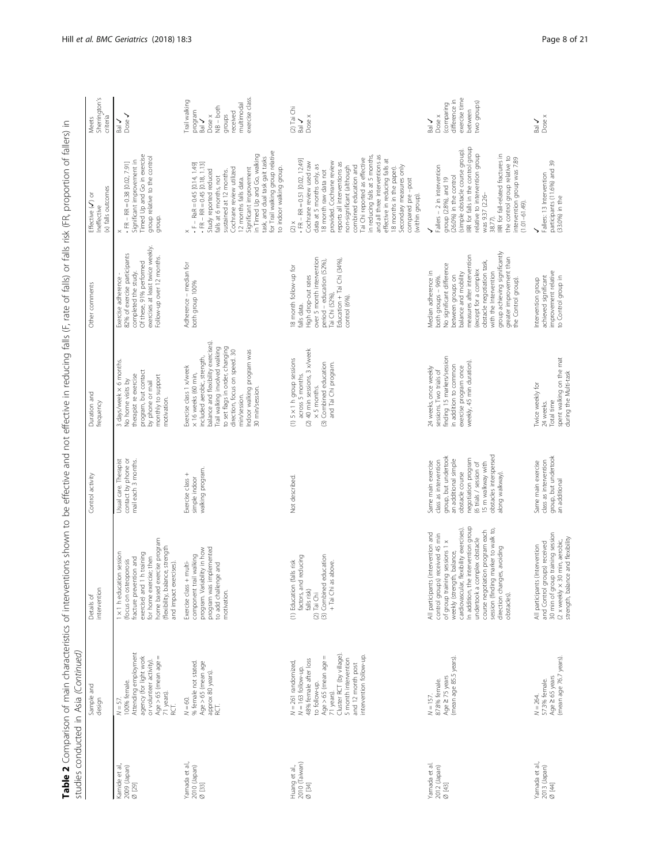| í                                                                                                                                                            |               |
|--------------------------------------------------------------------------------------------------------------------------------------------------------------|---------------|
| of interventions shown to be effective and not effective in reducing falls (F rate of falls) or falls rick (FR proportion of falls of calls of the rick (FR) |               |
|                                                                                                                                                              |               |
|                                                                                                                                                              |               |
|                                                                                                                                                              |               |
|                                                                                                                                                              |               |
|                                                                                                                                                              |               |
|                                                                                                                                                              |               |
|                                                                                                                                                              |               |
|                                                                                                                                                              |               |
|                                                                                                                                                              |               |
|                                                                                                                                                              |               |
|                                                                                                                                                              |               |
|                                                                                                                                                              |               |
|                                                                                                                                                              |               |
|                                                                                                                                                              |               |
|                                                                                                                                                              |               |
| j                                                                                                                                                            |               |
|                                                                                                                                                              |               |
|                                                                                                                                                              |               |
|                                                                                                                                                              |               |
|                                                                                                                                                              |               |
|                                                                                                                                                              |               |
|                                                                                                                                                              |               |
|                                                                                                                                                              |               |
|                                                                                                                                                              |               |
|                                                                                                                                                              |               |
|                                                                                                                                                              |               |
|                                                                                                                                                              |               |
|                                                                                                                                                              |               |
|                                                                                                                                                              |               |
|                                                                                                                                                              |               |
|                                                                                                                                                              |               |
|                                                                                                                                                              |               |
|                                                                                                                                                              |               |
|                                                                                                                                                              |               |
|                                                                                                                                                              |               |
| j                                                                                                                                                            |               |
| $\frac{1}{2}$<br>i                                                                                                                                           |               |
| is and the contract of                                                                                                                                       | ֠             |
| İ                                                                                                                                                            |               |
|                                                                                                                                                              |               |
|                                                                                                                                                              |               |
|                                                                                                                                                              | j             |
|                                                                                                                                                              |               |
| י<br>ו                                                                                                                                                       |               |
| .<br>.<br>.                                                                                                                                                  | l             |
|                                                                                                                                                              |               |
|                                                                                                                                                              | i<br>J<br>֚֬֕ |
|                                                                                                                                                              |               |

|                                                     | Sample and<br>design                                                                                                                                                                                                             | intervention<br>Details of                                                                                                                                                                                                                                                                                                                                                          | Control activity                                                                                                                                                                                                                  | Duration and<br>frequency                                                                                                                                                                                                                                                                 | Other comments                                                                                                                                                                                                                                                                                                         | (x) falls outcomes<br>Effective (V) or<br>Ineffective                                                                                                                                                                                                                                                                                                                                                                                                                                                        | Sherrington's<br>criteria <sup>"</sup><br>Meets                                                                          |
|-----------------------------------------------------|----------------------------------------------------------------------------------------------------------------------------------------------------------------------------------------------------------------------------------|-------------------------------------------------------------------------------------------------------------------------------------------------------------------------------------------------------------------------------------------------------------------------------------------------------------------------------------------------------------------------------------|-----------------------------------------------------------------------------------------------------------------------------------------------------------------------------------------------------------------------------------|-------------------------------------------------------------------------------------------------------------------------------------------------------------------------------------------------------------------------------------------------------------------------------------------|------------------------------------------------------------------------------------------------------------------------------------------------------------------------------------------------------------------------------------------------------------------------------------------------------------------------|--------------------------------------------------------------------------------------------------------------------------------------------------------------------------------------------------------------------------------------------------------------------------------------------------------------------------------------------------------------------------------------------------------------------------------------------------------------------------------------------------------------|--------------------------------------------------------------------------------------------------------------------------|
| Kamide et al.<br>2009 (Japan)<br>(62)               | Attending employment<br>agency (for light work<br>or volunteer activity).<br>Age > 65 (mean age<br>100% female.<br>71 years).<br>$N = 57$ .<br><b>Q</b>                                                                          | exercise program<br>(flexibility, balance, strength<br>exercise) and 1 h training<br>1 x 1 h education session<br>fracture prevention and<br>for home exercise; then<br>focus on osteoporosis<br>and impact exercises).<br>home based                                                                                                                                               | contact by phone or<br>Usual care. Therapist<br>mail each 3 months.                                                                                                                                                               | 3 days/week x 6 months.<br>program, but contact<br>therapist re exercise<br>monthly to support<br>No home visits by<br>by phone or mail<br>motivation.                                                                                                                                    | exercises at least twice weekly.<br>82% of exercise participants<br>Follow-up over 12 months.<br>Of these, 91% performed<br>completed the study.<br>Exercise adherence                                                                                                                                                 | Timed Up and Go in exercise<br>group relative to the control<br>Significant improvement in<br>$\bullet$ FR - RR = 0.38 [0.02, 7.91]<br>group.                                                                                                                                                                                                                                                                                                                                                                | Dose $\checkmark$<br>Bal $\checkmark$                                                                                    |
| Yamada et al.<br>2010 (Japan)<br>Ø[33]              | Age > 65 (mean age<br>% female not stated.<br>approx 80 years)<br>$N = 60$<br>ă                                                                                                                                                  | program was implemented<br>program. Variability in how<br>component trail walking<br>Exercise class + multi-<br>to add challenge and<br>motivation.                                                                                                                                                                                                                                 | walking program.<br>Exercise class +<br>simple indoor                                                                                                                                                                             | balance and flexibility exercises)<br>to set flags in order, changing<br>Trail walking involved walking<br>Indoor walking program was<br>direction, focus on speed. 30<br>included aerobic, strength,<br>Exercise class 1 x/week<br>x 16 weeks (60 min,<br>30 min/session<br>min/session. | Adherence - median for<br>both group 100%                                                                                                                                                                                                                                                                              | for Trail walking group relative<br>in Timed Up and Go, walking<br>task, and dual task gait tasks<br>$\cdot$ F – RaR = 0.45 [0.14, 1.49]<br>$\cdot$ FR – RR = 0.45 [0.18, 1.13]<br>to indoor walking group.<br>Significant improvement<br>Cochrane review utilized<br>Study reported reduced<br>sustained at 12 months.<br>falls at 6 months, not<br>12 months falls data.                                                                                                                                   | exercise class.<br>frail walking<br>multimodal<br>$NB - both$<br>program<br>Bal <b>/</b><br>received<br>Dose x<br>aroups |
| 2010 (Taiwan)<br>Huang et al.<br>$\varnothing$ [34] | Cluster RCT (by village)<br>intervention follow-up.<br>Age > 65 (mean age =<br>5 month intervention<br>48% female after loss<br>$N = 261$ randomized,<br>and 12 month post<br>$N = 163$ follow-up<br>to follow-up.<br>71 years). | (2) Tai Chi<br>(3) Combined education<br>factors, and reducing<br>(1) Education (falls risk<br>as above.<br>falls risk)<br>$+$ Tai Chi                                                                                                                                                                                                                                              | Not described                                                                                                                                                                                                                     | (2) 40 min sessions, 3 x/week<br>$(1)$ 5 $\times$ 1 h group sessions<br>(3) Combined education<br>and Tai Chi program.<br>across 5 months.<br>x 5 months.                                                                                                                                 | over 5 month intervention<br>Education $+$ Tai Chi (34%),<br>period - education (52%)<br>8 month follow-up for<br>High drop-out rates<br>Tai Chi (52%),<br>control (6%).<br>falls data.                                                                                                                                | in reducing falls at 5 months,<br>and all three interventions as<br>Tai Chi reported as effective<br>effective in reducing falls at<br>$\cdot$ FR – RR = 0.51 [0.02, 12.49]<br>provided. Cochrane review<br>Cochrane review used raw<br>reports all interventions as<br>data at 5 months only, as<br>combined education and<br>Secondary measures only<br>non-significant (although<br>18 months in the paper).<br>18 month raw data not<br>compared pre-post<br>(within group).<br>$\stackrel{\times}{(2)}$ | (2) Tai Chi<br>Bal<br>$\boldsymbol{\checkmark}$<br>Dose x                                                                |
| Yamada et al.<br>2012 (Japan)<br>$\varnothing$ [43] | (mean age 85.5 years)<br>Age ≥ 75 years<br>87.8% female.<br>$N = 157$ .                                                                                                                                                          | the intervention group<br>session (finding marker to walk to<br>cardiovascular, flexibility exercises)<br>course negotiation program each<br>All participants (intervention and<br>control groups) received 45 min<br>complex obstacle<br>of group training sessions 1 x<br>direction changes, avoiding<br>weekly (strength, balance,<br>undertook a<br>In addition,<br>obstacles). | obstacles interspersed<br>group, but undertook<br>negotiation program<br>an additional simple<br>Same main exercise<br>class as intervention<br>(6 trials / session of<br>15 m walkway with<br>obstacle course<br>along walkway). | finding 15 markers/session<br>weekly, 45 min duration).<br>in addition to common<br>24 weeks, once weekly<br>exercise program once<br>sessions. Two trials of                                                                                                                             | group achieving significantly<br>measures after intervention<br>greater improvement than<br>obstacle negotiation task,<br>No significant difference<br>(except for a complex<br>with the Intervention<br>Median adherence in<br>balance and mobility<br>between groups on<br>both groups - 96%.<br>the Control group). | IRR for falls in the control group<br>(simple obstacle course group)<br>relative to intervention group<br>IRR for fall-related fractures in<br>the control group relative to<br>intervention group was 7.89<br>Fallers - 2 in intervention<br>(26.0%) in the control<br>group (2.8%), and 19<br>was 9.37 (2.26-<br>$(1.01 - 61.49)$<br>38.77).                                                                                                                                                               | exercise time<br>difference in<br>two groups)<br>(comparing<br>between<br>Dose x<br>Bal V                                |
| Yamada et al.,<br>2013 (Japan)<br>0 [44]            | (mean age 76.7 years).<br>Age ≥ 65 years<br>57.3% female.<br>$N = 264$                                                                                                                                                           | 30 min of group training session<br>strength, balance and flexibility<br>x 30 min, aerobic,<br>and Control groups) received<br>All participants (Intervention<br>(2 x weekly                                                                                                                                                                                                        | group, but undertook<br>Same main exercise<br>class as intervention<br>an additional                                                                                                                                              | spent walking on the mat<br>during the Multi-task<br>Twice weekly for<br>Total time<br>24 weeks.                                                                                                                                                                                          | improvement relative<br>achieved significant<br>to Control group in<br>Intervention group                                                                                                                                                                                                                              | participants (11.6%) and 39<br>Fallers: 13 Intervention<br>(33.0%) in the                                                                                                                                                                                                                                                                                                                                                                                                                                    | Dose x<br>Bal $\checkmark$                                                                                               |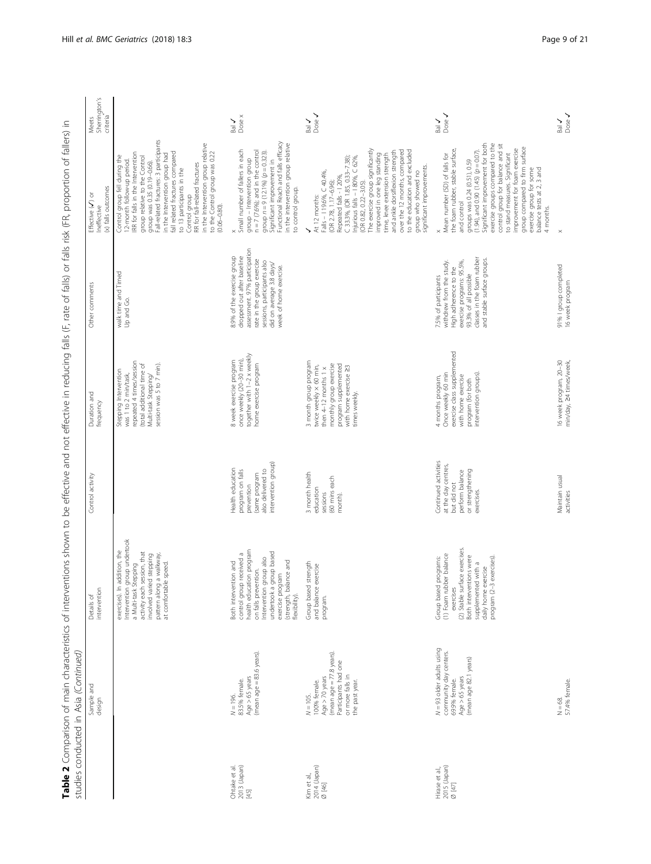| $\ddot{\phantom{a}}$                                 |   |
|------------------------------------------------------|---|
| ١<br>j                                               |   |
|                                                      |   |
| ١                                                    |   |
| $-20$ $-1$ $-1$ $-1$                                 |   |
|                                                      |   |
| i<br>١                                               |   |
|                                                      |   |
| ة<br>م<br>$\overline{a}$                             |   |
|                                                      |   |
| r rick<br>$\frac{1}{2}$                              |   |
|                                                      |   |
| $\frac{3}{2}$                                        |   |
| )<br>Junio                                           |   |
|                                                      |   |
|                                                      |   |
| $\overline{ }$                                       |   |
|                                                      |   |
|                                                      |   |
| 3                                                    |   |
| ⊶ا ام (م الحمال) من م+م م+م عام 1  م} من ا<br>١      |   |
| j                                                    |   |
| S                                                    |   |
| : منتصر معاملا<br>;<br>)<br>-                        |   |
|                                                      |   |
| ֦֧֦֧֦֧֦֧֦֧֦֧֦֧ׅ֦֧֦֧֚֚֚֚֚֚֜֓֝֜֜֞֓                     |   |
|                                                      |   |
|                                                      |   |
|                                                      |   |
| interventions shown to be effective and not effectiv |   |
|                                                      |   |
|                                                      |   |
|                                                      |   |
|                                                      |   |
|                                                      |   |
|                                                      |   |
|                                                      |   |
|                                                      |   |
|                                                      |   |
|                                                      |   |
|                                                      |   |
|                                                      |   |
|                                                      |   |
|                                                      |   |
| l                                                    |   |
| ١                                                    |   |
| j<br>i                                               |   |
| l                                                    |   |
| ׇ֚֓֡<br>֡֡֡<br>١                                     | l |
| ١                                                    |   |
| i<br>ׅ֘֒                                             |   |
|                                                      |   |
|                                                      |   |
|                                                      |   |
|                                                      |   |
| I                                                    |   |
|                                                      |   |
|                                                      | 1 |
|                                                      |   |
|                                                      |   |

|                                                      | studies conducted in Asia (Continued)                                                                                                   |                                                                                                                                                                                                                                  |                                                                                                                 |                                                                                                                                                                     |                                                                                                                                                                                                              |                                                                                                                                                                                                                                                                                                                                                                                                                                                            |                                    |
|------------------------------------------------------|-----------------------------------------------------------------------------------------------------------------------------------------|----------------------------------------------------------------------------------------------------------------------------------------------------------------------------------------------------------------------------------|-----------------------------------------------------------------------------------------------------------------|---------------------------------------------------------------------------------------------------------------------------------------------------------------------|--------------------------------------------------------------------------------------------------------------------------------------------------------------------------------------------------------------|------------------------------------------------------------------------------------------------------------------------------------------------------------------------------------------------------------------------------------------------------------------------------------------------------------------------------------------------------------------------------------------------------------------------------------------------------------|------------------------------------|
|                                                      | Sample and<br>design                                                                                                                    | intervention<br>Details of                                                                                                                                                                                                       | Control activity                                                                                                | Duration and<br>frequency                                                                                                                                           | Other comments                                                                                                                                                                                               | (x) falls outcomes<br>Effective (V) or<br>Ineffective                                                                                                                                                                                                                                                                                                                                                                                                      | Sherrington's<br>criteria<br>Meets |
|                                                      |                                                                                                                                         | Intervention group undertook<br>exercises). In addition, the<br>activity each session, that<br>a walkway,<br>involved varied stepping<br>speed.<br>a Multi-task Stepping<br>pattern along a<br>at comfortable                    |                                                                                                                 | repeated 4 times/session<br>total additional time of<br>session was 5 to 7 min).<br>Stepping Intervention<br>was 1 to 2 min/task,<br>Multi-task Stepping/           | walk time and Timed<br>Up and Go.                                                                                                                                                                            | Fall-related fractures: 3 participants<br>in the Intervention group relative<br>to the Control group was 0.22<br>fall related fractures compared<br>IRR for falls in the Intervention<br>in the Intervention group had<br>group relative to the Control<br>Control group fell during the<br>12-month follow-up period.<br>group was 0.35 (0.19-0.66).<br>RR for fall-related fractures<br>to 13 participants in the<br>Control group<br>$(0.06 - 0.80)$ .  |                                    |
| 2013 (Japan)<br>Ohtake et al.                        | (mean age = 83.6 years).<br>Age > 65 years<br>83.5% female.<br>$N = 196$ .                                                              | on program<br>undertook a group based<br>control group received a<br>Intervention group also<br>on and<br>(strength, balance and<br>on falls prevention.<br>exercise program<br>Both intervent<br>health educati<br>lexibility). | intervention group)<br>Health education<br>program on falls<br>also delivered to<br>(same program<br>prevention | together with 1-2 x weekly<br>once weekly (20-30 min),<br>8 week exercise program<br>home exercise program                                                          | assessment. 97% participation<br>8.9% of the exercise group<br>dropped out after baseline<br>rate in the group exercise<br>sessions, participants also<br>did on average 3.8 days/<br>week of home exercise. | Functional Reach and falls efficacy<br>in the intervention group relative<br>Small number of fallers in each<br>$group - International group n = 7 (7.6%); and in the control$<br>group $n = 9(12.1\%) (p = 0.323)$<br>Significant improvement in<br>to control group.                                                                                                                                                                                     | Dose x<br>Bal V                    |
| $\frac{2014}{\varnothing}$ (Japan)<br>Kim et al.,    | (mean age = 77.8 years).<br>Participants had one<br>or more falls in<br>Age > 70 years<br>100% female.<br>the past year.<br>$N = 105$ . | Group based strength<br>and balance exercise<br>program.                                                                                                                                                                         | 3 month health<br>(60 mins each<br>education<br>sessions<br>month).                                             | 3 month group program<br>twice weekly x 60 min,<br>monthly group exercise<br>program supplemented<br>with home exercise 23<br>then 4-12 months 1 x<br>times weekly. |                                                                                                                                                                                                              | The exercise group significantly<br>over the 12 months, compared<br>to the education and excluded<br>and ankle dorsiflexion strength<br>improved in one leg standing<br>time, knee extension strength<br>$C$ 33.3%, (OR 1.85, 0.33-7.38);<br>Injurious falls - 180%, C 62%,<br>significant improvements.<br>Falls - I 19.6%, C 40.4%,<br>group who showed no<br>Repeated falls - I 20%,<br>(OR 2.78, 1.17-6.96);<br>(OR 0.82, 0.22-3.05).<br>At 12 months: | Dose /<br>Bal $\checkmark$         |
| 2015 (Japan)<br>$\varnothing$ [47]<br>Hirase et al., | $N = 93$ older adults using<br>community day centers.<br>(mean age 82.1 years)<br>Age > 65 years<br>69.9% female.                       | (2) Stable surface exercises.<br>(1) Foam rubber balance<br>Both interventions were<br>exercises)<br>Group based programs:<br>with a<br>daily home exercise<br>supplemented<br>program (2-3<br>exercises                         | Continued activities<br>at the day centres,<br>or strengthening<br>perform balance<br>but did not<br>exercises. | exercise class supplemented<br>Once weekly 60 min<br>intervention groups)<br>with home exercise<br>4 months program,<br>program (for both                           | classes in the foam rubber<br>and stable surface groups.<br>withdrew from the study.<br>exercise programs: 95.5%,<br>High adherence to the<br>93.3% of all possible<br>7.5% of participants                  | (1.94), and 0.90 (1.45) $(p = 0.07)$ .<br>Significant improvement for both<br>exercise groups compared to the<br>control group for balance and sit<br>group compared to firm surface<br>improvement for foam exercise<br>the foam rubber, stable surface,<br>to stand measures. Significant<br>Mean number (SD) of falls for<br>groups was 0.24 (0.51), 0.59<br>exercise group for some<br>balance tests at 2, 3 and<br>and control<br>4 months.           | Dose /<br>Bal V                    |
|                                                      | 57.4% female.<br>$N = 68$ .                                                                                                             |                                                                                                                                                                                                                                  | Maintain usual<br>activities                                                                                    | 16 week program, 20-30<br>min/day, 24 times/week,                                                                                                                   | 91% I group completed<br>16 week program                                                                                                                                                                     | $\times$                                                                                                                                                                                                                                                                                                                                                                                                                                                   | Dose V<br>Mal√                     |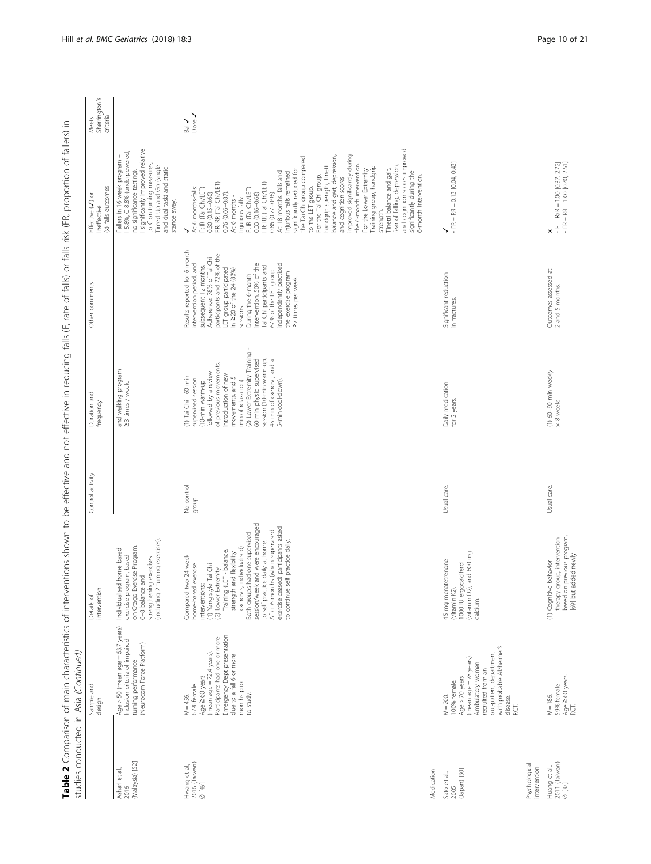| $\ddot{\phantom{a}}$                    |        |
|-----------------------------------------|--------|
| ١                                       |        |
| j<br>$\overline{a}$<br>ï                |        |
|                                         |        |
| $-1$<br>J                               |        |
|                                         |        |
| 1<br>١                                  |        |
|                                         |        |
| )                                       |        |
| י<br>ב                                  |        |
| ĺ                                       |        |
| $\frac{1}{2}$                           |        |
| c ric                                   |        |
|                                         |        |
| $\overline{ }$                          |        |
|                                         |        |
|                                         |        |
|                                         |        |
|                                         |        |
|                                         |        |
| (F. rate of falls) or fall<br>ļ         |        |
| - 1<br>- 1<br>- 1                       |        |
| j                                       |        |
| )<br>$\overline{\phantom{a}}$           |        |
| .<br>.<br>.<br>.<br>J<br>j              |        |
|                                         |        |
| )<br>-<br>-                             |        |
|                                         |        |
| $\ddot{\cdot}$<br>$\frac{1}{2}$         |        |
|                                         |        |
| ;<br>)                                  |        |
| $+$                                     |        |
| $\overline{\phantom{a}}$                |        |
| interventions shown to be effective and |        |
|                                         |        |
| ノリコリリニ                                  |        |
|                                         |        |
|                                         |        |
| )<br>)<br>2                             |        |
|                                         |        |
|                                         |        |
|                                         |        |
|                                         |        |
|                                         |        |
|                                         |        |
|                                         |        |
|                                         |        |
|                                         |        |
|                                         |        |
| J<br>١                                  |        |
| Ï<br>I                                  |        |
| ţ<br>١<br>j                             |        |
| Ì<br>i                                  |        |
| l<br>ì<br>d<br>١                        | ı<br>١ |
| İ<br>I                                  | ļ<br>l |
| ļ                                       | Ó      |
| i<br>:                                  |        |
|                                         |        |
|                                         | I      |
|                                         |        |
| Ï                                       |        |
|                                         |        |
| ļ                                       |        |
| I<br>١                                  |        |
| ı                                       |        |
|                                         | I<br>1 |
|                                         | i      |

|                                                      | studies conducted in Asia (Continued)                                                                                                                                                           |                                                                                                                                                                                                                                                                                                                                                                                                                                        |                     |                                                                                                                                                                                                                                                                                                                                |                                                                                                                                                                                                                                                                                                                                                                                               |                                                                                                                                                                                                                                                                                                                                                                                                                                                                                                                                                                                                                                                                                                                                                                                                  |                                           |
|------------------------------------------------------|-------------------------------------------------------------------------------------------------------------------------------------------------------------------------------------------------|----------------------------------------------------------------------------------------------------------------------------------------------------------------------------------------------------------------------------------------------------------------------------------------------------------------------------------------------------------------------------------------------------------------------------------------|---------------------|--------------------------------------------------------------------------------------------------------------------------------------------------------------------------------------------------------------------------------------------------------------------------------------------------------------------------------|-----------------------------------------------------------------------------------------------------------------------------------------------------------------------------------------------------------------------------------------------------------------------------------------------------------------------------------------------------------------------------------------------|--------------------------------------------------------------------------------------------------------------------------------------------------------------------------------------------------------------------------------------------------------------------------------------------------------------------------------------------------------------------------------------------------------------------------------------------------------------------------------------------------------------------------------------------------------------------------------------------------------------------------------------------------------------------------------------------------------------------------------------------------------------------------------------------------|-------------------------------------------|
|                                                      | Sample and<br>design                                                                                                                                                                            | intervention<br>Details of                                                                                                                                                                                                                                                                                                                                                                                                             | Control activity    | Duration and<br>frequency                                                                                                                                                                                                                                                                                                      | Other comments                                                                                                                                                                                                                                                                                                                                                                                | (x) falls outcomes<br>Effective $(J)$ or<br>Ineffective                                                                                                                                                                                                                                                                                                                                                                                                                                                                                                                                                                                                                                                                                                                                          | Sherrington's<br>criteria<br><b>Meets</b> |
| 2016<br>(Malaysia) [52]<br>Ashari et al.             | Age > 50 (mean age = 63.7 years)<br>Inclusion criteria of impaired<br>(Neurocom Force Platform)<br>turning performance                                                                          | turning exercises).<br>on Otago Exercise Program.<br>Individualised home based<br>exercise program, based<br>ig exercises<br>6-8 balance and<br>strengthening<br>(including 2 t                                                                                                                                                                                                                                                        |                     | and walking program<br>23 times / week                                                                                                                                                                                                                                                                                         |                                                                                                                                                                                                                                                                                                                                                                                               | I significantly improved relative<br>I 5.8%, C 8.8% (underpowered,<br>Fallers in 16 week program<br>to C on turning measures,<br>Timed Up and Go (single<br>and dual task) and static<br>no significance testing)<br>stance sway.                                                                                                                                                                                                                                                                                                                                                                                                                                                                                                                                                                |                                           |
| Hwang et al.,<br>2016 (Taiwan)<br>Ø [49]             | Emergency Dept presentation<br>Participants had one or more<br>(mean age = 72.4 years).<br>due to a fall 6 or more<br>Age ≥ 60 years<br>months prior<br>67% female.<br>to study.<br>$N = 456$ . | session/week and were encouraged<br>exercise ceased) participants asked<br>After 6 months (when supervised<br>had one supervised<br>to continue self practice daily.<br>to self practice daily at home.<br>individualised)<br>(1) Yang style Tai Chi<br>(2) Lower Extremity<br>Training (LET - balance,<br>and flexibility<br>Compared two 24 week<br>exercise<br>interventions:<br>home-based<br>exercises<br>Both groups<br>strength | No control<br>group | (2) Lower Extremity Training -<br>60 min physio supervised<br>session (10-min warm-up,<br>45 min of exercise, and a<br>of previous movements,<br>followed by a review<br>introduction of new<br>$(1)$ Tai Chi - 60 min<br>movements, and 5<br>supervised session<br>5-min cool-down).<br>(10-min warm-up<br>min of relaxation) | Results reported for 6 month<br>participants and 72% of the<br>Adherence: 78% of Tai Chi<br>independently practiced<br>intervention period, and<br>intervention, 50% of the<br>subsequent 12 months.<br>Tai Chi participants and<br>LET group participated<br>in 220 of the 24 (83%)<br>67% of the LET group<br>the exercise program<br>During the 6-month<br>27 times per week.<br>sessions. | and cognition scores improved<br>improved significantly during<br>balance and gait, depression,<br>the Tai Chi group compared<br>the 6-month intervention.<br>handgrip strength, Tinetti<br>fear of falling, depression,<br>Training group, handgrip<br>For the Lower Extremity<br>significantly reduced for<br>Tinetti balance and gait,<br>significantly during the<br>At 18 months: falls and<br>injurious falls remained<br>For the Tai Chi group,<br>6-month intervention.<br>and cognition scores<br>FR: RR (Tai Chi/LET)<br>FR: RR (Tai Chi/LET)<br>to the LET group.<br>At 6 months-falls:<br>F: IR (Tai Chi/LET)<br>F: IR (Tai Chi/LET)<br>$0.76$ $(0.66 - 0.87)$ .<br>0.30 (0.15-0.60)<br>0.86 (0.77-0.96).<br>0.33 (0.16-0.68)<br>At 6 months -<br>Injurious falls:<br>strength,<br>↘ | Dose V<br>Bal $\checkmark$                |
| Medication                                           |                                                                                                                                                                                                 |                                                                                                                                                                                                                                                                                                                                                                                                                                        |                     |                                                                                                                                                                                                                                                                                                                                |                                                                                                                                                                                                                                                                                                                                                                                               |                                                                                                                                                                                                                                                                                                                                                                                                                                                                                                                                                                                                                                                                                                                                                                                                  |                                           |
| (Japan) [30]<br>Sato et al.,<br>2005                 | with probable Alzheimer's<br>out-patient department<br>(mean age = 78 years).<br>Ambulatory women<br>recruited from an<br>Age > 70 years<br>100% female.<br>$N = 200$ .<br>disease.<br>RCT.     | 1000 IU ergocalciferol<br>(vitamin D2), and 600 mg<br>45 mg menatetrenone<br>(vitamin K2),<br>calcium.                                                                                                                                                                                                                                                                                                                                 | Usual care.         | Daily medication<br>for 2 years.                                                                                                                                                                                                                                                                                               | Significant reduction<br>in fractures.                                                                                                                                                                                                                                                                                                                                                        | $-FR - RR = 0.13 [0.04, 0.43]$<br>↘                                                                                                                                                                                                                                                                                                                                                                                                                                                                                                                                                                                                                                                                                                                                                              |                                           |
| Psychological<br>intervention                        |                                                                                                                                                                                                 |                                                                                                                                                                                                                                                                                                                                                                                                                                        |                     |                                                                                                                                                                                                                                                                                                                                |                                                                                                                                                                                                                                                                                                                                                                                               |                                                                                                                                                                                                                                                                                                                                                                                                                                                                                                                                                                                                                                                                                                                                                                                                  |                                           |
| 2011 (Taiwan)<br>Huang et al.,<br>$\varnothing$ [37] | Age $\geq 60$ years.<br>RCT.<br>59% female<br>$N = 186.$                                                                                                                                        | previous program,<br>therapy group, intervention<br>based on previous pro<br>[69] but added newly<br>(1) Cognitive behavior                                                                                                                                                                                                                                                                                                            | Usual care.         | $(1)$ 60-90 min weekly<br>x 8 weeks                                                                                                                                                                                                                                                                                            | Outcomes assessed at<br>2 and 5 months.                                                                                                                                                                                                                                                                                                                                                       | $\bullet$ FR - RR = 1.00 [0.40, 2.51]<br>$\cdot$ F – RaR = 1.00 [0.37, 2.72]                                                                                                                                                                                                                                                                                                                                                                                                                                                                                                                                                                                                                                                                                                                     |                                           |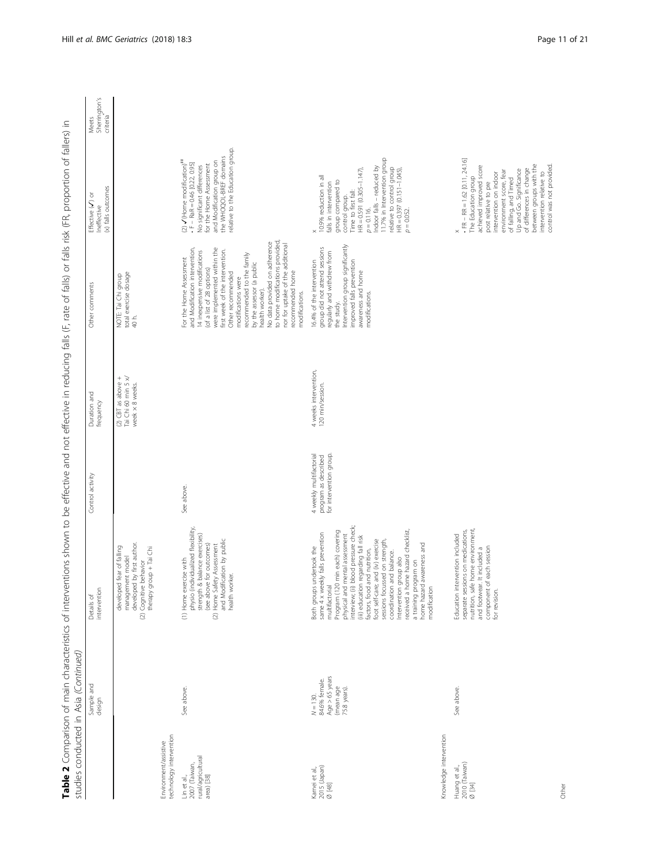| í                                                                                                                                             |               |
|-----------------------------------------------------------------------------------------------------------------------------------------------|---------------|
|                                                                                                                                               |               |
|                                                                                                                                               |               |
|                                                                                                                                               |               |
|                                                                                                                                               |               |
|                                                                                                                                               |               |
|                                                                                                                                               |               |
|                                                                                                                                               |               |
|                                                                                                                                               |               |
|                                                                                                                                               |               |
|                                                                                                                                               |               |
|                                                                                                                                               |               |
|                                                                                                                                               |               |
|                                                                                                                                               |               |
|                                                                                                                                               |               |
|                                                                                                                                               |               |
|                                                                                                                                               |               |
|                                                                                                                                               |               |
|                                                                                                                                               |               |
|                                                                                                                                               |               |
|                                                                                                                                               |               |
|                                                                                                                                               |               |
|                                                                                                                                               |               |
|                                                                                                                                               |               |
|                                                                                                                                               |               |
| the of interventions shown to be effective and not effective in reducing falls (F. rate of falls) or falls rick (FR proportion of fallard) in |               |
|                                                                                                                                               |               |
|                                                                                                                                               |               |
|                                                                                                                                               |               |
|                                                                                                                                               |               |
|                                                                                                                                               |               |
|                                                                                                                                               |               |
|                                                                                                                                               |               |
|                                                                                                                                               |               |
|                                                                                                                                               |               |
|                                                                                                                                               |               |
|                                                                                                                                               |               |
|                                                                                                                                               |               |
|                                                                                                                                               |               |
| ţ                                                                                                                                             |               |
| ì<br>i                                                                                                                                        | ׇ֚֘֝֬         |
| į<br>ׇ֚֓֡                                                                                                                                     | j<br>ׇ֚֘֝֬    |
| l                                                                                                                                             |               |
|                                                                                                                                               |               |
| i                                                                                                                                             | j             |
|                                                                                                                                               |               |
|                                                                                                                                               |               |
|                                                                                                                                               |               |
|                                                                                                                                               | l             |
|                                                                                                                                               |               |
|                                                                                                                                               | J<br>i<br>ׇ֘֒ |
|                                                                                                                                               |               |

|                                                                  | Sample and<br>design                                                        | intervention<br>Details of                                                                                                                                                                                                                                                                                                                                                                                                                                                                                       | Control activity                                                           | Duration and<br>frequency                                            | Other comments                                                                                                                                                                                                                                                                                                                                                                                                                                                 | (x) falls outcomes<br>Effective (V) or<br>Ineffective                                                                                                                                                                                                                                                                                  | Sherrington's<br>criteria<br>Meets |
|------------------------------------------------------------------|-----------------------------------------------------------------------------|------------------------------------------------------------------------------------------------------------------------------------------------------------------------------------------------------------------------------------------------------------------------------------------------------------------------------------------------------------------------------------------------------------------------------------------------------------------------------------------------------------------|----------------------------------------------------------------------------|----------------------------------------------------------------------|----------------------------------------------------------------------------------------------------------------------------------------------------------------------------------------------------------------------------------------------------------------------------------------------------------------------------------------------------------------------------------------------------------------------------------------------------------------|----------------------------------------------------------------------------------------------------------------------------------------------------------------------------------------------------------------------------------------------------------------------------------------------------------------------------------------|------------------------------------|
|                                                                  |                                                                             | by first author.<br>fear of falling<br>(2) Cognitive behavior<br>therapy group + Tai Chi<br>management model<br>developed<br>developed                                                                                                                                                                                                                                                                                                                                                                           |                                                                            | $(2)$ CBT as above +<br>Tai Chi 60 min 5 $\times$<br>week x 8 weeks. | total exercise dosage<br>NOTE: Tai Chi group<br>40 h.                                                                                                                                                                                                                                                                                                                                                                                                          |                                                                                                                                                                                                                                                                                                                                        |                                    |
| technology intervention<br>Environment/assistive                 |                                                                             |                                                                                                                                                                                                                                                                                                                                                                                                                                                                                                                  |                                                                            |                                                                      |                                                                                                                                                                                                                                                                                                                                                                                                                                                                |                                                                                                                                                                                                                                                                                                                                        |                                    |
| rural/agricultural<br>area) [38]<br>Lin et al.,<br>2007 (Taiwan, | See above.                                                                  | physio (individualized flexibility,<br>strength & balance exercises)<br>and Modification by public<br>tor outcomes)<br>(2) Home Safety Assessment<br>(1) Home exercise with<br>health worker.<br>(see above                                                                                                                                                                                                                                                                                                      | See above.                                                                 |                                                                      | to home modifications provided,<br>No data provided on adherence<br>nor for uptake of the additional<br>were implemented within the<br>and Modification intervention,<br>first week of the intervention.<br>14 inexpensive modifications<br>recommended to the family<br>For the Home Assessment<br>by the assessor (a public<br>(of a list of 28 options)<br>Other recommended<br>recommended home<br>modifications were<br>health worker).<br>modifications. | relative to the Education group.<br>the WHOQOL-BREF domains<br>(2) $\checkmark$ (Home modification) <sup>##</sup><br>and Modification group on<br>$\cdot$ F - RaR = 0.46 [0.22, 0.95]<br>for the Home Assessment<br>No significant differences                                                                                         |                                    |
| 2015 (Japan)<br>Kamei et al.,<br>0 [48]                          | Age > 65 years<br>84.6% female.<br>(mean age<br>75.8 years).<br>$N = 130$ . | blood pressure check;<br>Program (120 min each) covering<br>received a home hazard checklist,<br>same 4 x weekly falls prevention<br>physical and mental assessment<br>(iii) education regarding fall risk<br>foot self-care; and (iv) exercise<br>sessions focussed on strength,<br>home hazard awareness and<br>Both groups undertook the<br>factors, food and nutrition,<br>coordination and balance.<br>ntervention group also<br>a training program on<br>multifactorial<br>interview; (ii)<br>modification | for intervention group.<br>4 weekly multifactorial<br>program as described | 4 weeks intervention,<br>120 min/session.                            | Intervention group significantly<br>group did not attend sessions<br>regularly and withdrew from<br>improved falls prevention<br>16.4% of the intervention<br>awareness and home<br>modifications.<br>the study.                                                                                                                                                                                                                                               | 11.7% in Intervention group<br>Indoor falls - reduced by<br>relative to control group<br>$HR = 0.591 (0.305 - 1.147)$<br>$HR = 0.397(0.151 - 1.045)$<br>10.9% reduction in all<br>group compared to<br>falls in intervention<br>Time to first fall:<br>control group.<br>$p = 0.116$ .<br>$p = 0.052$                                  |                                    |
| Knowledge intervention                                           |                                                                             |                                                                                                                                                                                                                                                                                                                                                                                                                                                                                                                  |                                                                            |                                                                      |                                                                                                                                                                                                                                                                                                                                                                                                                                                                |                                                                                                                                                                                                                                                                                                                                        |                                    |
| 2010 (Taiwan)<br>Huang et al.,<br>Ø [34]                         | See above.                                                                  | home environment,<br>separate sessions on medications,<br>Education intervention included<br>It included a<br>component of each session<br>nutrition, safe<br>and footwear.<br>for revision.                                                                                                                                                                                                                                                                                                                     |                                                                            |                                                                      |                                                                                                                                                                                                                                                                                                                                                                                                                                                                | $\cdot$ FR - RR = 1.62 [0.11, 24.16]<br>between groups with the<br>achieved improved score<br>intervention relative to<br>control was not provided<br>of differences in change<br>Up and Go. Significance<br>environment score, fear<br>intervention on indoor<br>The Education group<br>of falling, and Timed<br>post relative to pre |                                    |
|                                                                  |                                                                             |                                                                                                                                                                                                                                                                                                                                                                                                                                                                                                                  |                                                                            |                                                                      |                                                                                                                                                                                                                                                                                                                                                                                                                                                                |                                                                                                                                                                                                                                                                                                                                        |                                    |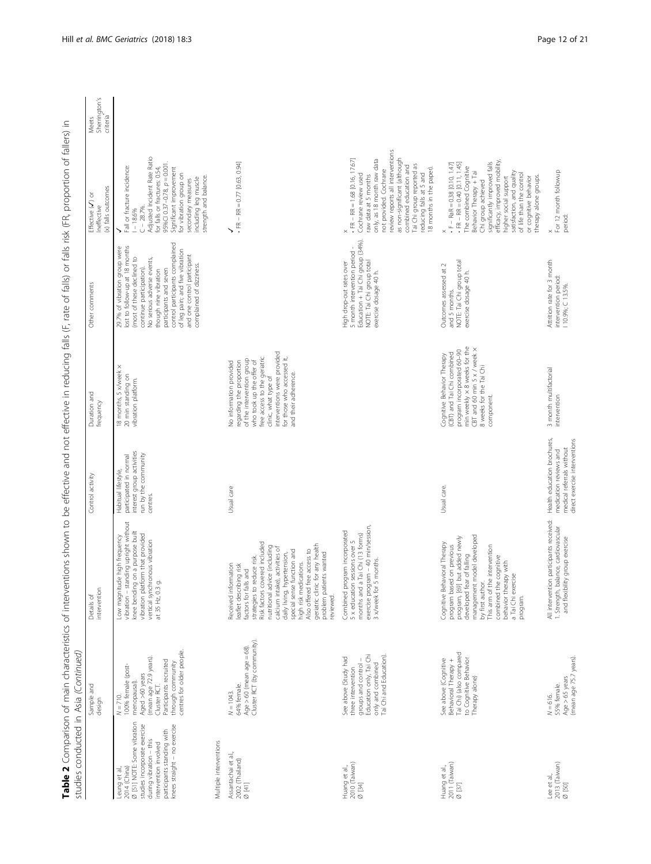| ֦֦֧֦֧֦֧֦֦֧֦֧֦֧֦֧֦֧֦֧֦֧֦֧֦֧֦֧֚֚֚֚֡֝֝֝֬֝֬֝֬֝ | $\ddot{\phantom{a}}$                                                                                                                    | $\ddot{\phantom{a}}$ | $\begin{bmatrix} 1 & 0 & 0 \\ 0 & 0 & 0 \\ 0 & 0 & 0 \\ 0 & 0 & 0 \\ 0 & 0 & 0 \\ 0 & 0 & 0 \\ 0 & 0 & 0 \\ 0 & 0 & 0 \\ 0 & 0 & 0 \\ 0 & 0 & 0 & 0 \\ 0 & 0 & 0 & 0 \\ 0 & 0 & 0 & 0 \\ 0 & 0 & 0 & 0 & 0 \\ 0 & 0 & 0 & 0 & 0 \\ 0 & 0 & 0 & 0 & 0 \\ 0 & 0 & 0 & 0 & 0 & 0 \\ 0 & 0 & 0 & 0 & 0 & 0 \\ 0 & 0 & 0 & 0 & 0 & $ | $\ddot{\phantom{0}}$ |                                                    |
|--------------------------------------------|-----------------------------------------------------------------------------------------------------------------------------------------|----------------------|---------------------------------------------------------------------------------------------------------------------------------------------------------------------------------------------------------------------------------------------------------------------------------------------------------------------------------|----------------------|----------------------------------------------------|
|                                            |                                                                                                                                         |                      |                                                                                                                                                                                                                                                                                                                                 |                      | ׇ֚֘֝֬<br><b>~ りころ 2. りりサリこう 2つり りりこうこきり</b><br>うりう |
|                                            | interventions shown to be effective and not effective in reducing falls (F, rate of falls) or falls risk (FR, proportion of fallers) in |                      |                                                                                                                                                                                                                                                                                                                                 |                      | こうけいこうし こうこうしょう<br>ויים המח                        |

|                                                                                                                                                                                                                | Sample and<br>design                                                                                                                                                                      | intervention<br>Details of                                                                                                                                                                                                                                                                                                                                                                                      | Control activity                                                                                                    | Duration and<br>frequency                                                                                                                                                                                                                                 | Other comments                                                                                                                                                                                                                                                                                                                              | (x) falls outcomes<br>Effective (V) or<br>Ineffective                                                                                                                                                                                                                                                                                               | Sherrington's<br>criteria<br>Meets |
|----------------------------------------------------------------------------------------------------------------------------------------------------------------------------------------------------------------|-------------------------------------------------------------------------------------------------------------------------------------------------------------------------------------------|-----------------------------------------------------------------------------------------------------------------------------------------------------------------------------------------------------------------------------------------------------------------------------------------------------------------------------------------------------------------------------------------------------------------|---------------------------------------------------------------------------------------------------------------------|-----------------------------------------------------------------------------------------------------------------------------------------------------------------------------------------------------------------------------------------------------------|---------------------------------------------------------------------------------------------------------------------------------------------------------------------------------------------------------------------------------------------------------------------------------------------------------------------------------------------|-----------------------------------------------------------------------------------------------------------------------------------------------------------------------------------------------------------------------------------------------------------------------------------------------------------------------------------------------------|------------------------------------|
| Ø [51] NOTE: Some vibration<br>knees straight - no exercise<br>studies incorporate exercise<br>participants standing with<br>during vibration - this<br>intervention involved<br>2014 (China)<br>Leung et al., | centres for older people.<br>(mean age 72.9 years).<br>Participants recruited<br>through community<br>100% female (post-<br>Aged >60 years<br>menopausal).<br>Cluster RCT.<br>$N = 710$ . | vibration - standing upright without<br>knee bending on a purpose built<br>vibration platform that provided<br>Low magnitude high frequency<br>vertical synchronous vibration<br>at 35 Hz, 0.3 g                                                                                                                                                                                                                | interest group activities<br>run by the community<br>participated in normal<br>Habitual lifestyle,<br>centres.      | 18 months, 5 x/week x<br>20 min standing on<br>vibration platform.                                                                                                                                                                                        | control participants complained<br>lost to follow-up at 18 months<br>29.7% of vibration group were<br>of leg pain; and five vibration<br>and one control participant<br>(most of these declined to<br>No serious adverse events,<br>complained of dizziness.<br>continue participation).<br>participants and seven<br>though nine vibration | Adjusted Incident Rate Ratio<br>95%Cl $0.37 - 0.78$ , $p = 0.001$<br>Fall or fracture incidence:<br>for falls or fractures: 0.54,<br>Significant improvement<br>for vibration group on<br>strength and balance.<br>including leg muscle<br>secondary measures<br>$C - 28.7%$<br>$1 - 18.6%$                                                         |                                    |
| Multiple interventions<br>Assantachai et al.,<br>2002 (Thailand)<br>$\varnothing$ [41]                                                                                                                         | Cluster RCT (by community).<br>$Age > 60$ (mean $age = 68$ )<br>64% female.<br>$N = 1043$ .                                                                                               | Risk factors covered included<br>for any health<br>nutritional advice (including<br>calcium intake), activities of<br>function and<br>Also offered free access to<br>problem patients wanted<br>daily living, hypertension,<br>strategies to reduce risk<br>high risk medications.<br>Received information<br>eaflet describing risk<br>factors for falls and<br>geriatric clinic<br>special sense<br>reviewed. | Usual care                                                                                                          | interventions were provided<br>free access to the geriatric<br>clinic, what type of<br>for those who accessed it,<br>of the intervention group<br>regarding the proportion<br>who took up the offer of<br>No information provided<br>and their adherence. |                                                                                                                                                                                                                                                                                                                                             | $-$ FR $-$ RR $=$ 0.77 [0.63, 0.94]                                                                                                                                                                                                                                                                                                                 |                                    |
| 2010 (Taiwan)<br>Huang et al.,<br>0 [34]                                                                                                                                                                       | Education only, Tai Chi<br>Tai Chi and Education)<br>See above (Study had<br>groups and control<br>only and combined<br>three intervention                                                | exercise program - 40 min/session,<br>Combined program incorporated<br>Tai Chi (13 forms)<br>sessions over 5<br>3 x/week for 5 months.<br>5 x education<br>months and a                                                                                                                                                                                                                                         |                                                                                                                     |                                                                                                                                                                                                                                                           | Education + Tai Chi group (34%).<br>5 month intervention period -<br>NOTE: Tai Chi group total<br>High drop-out rates over<br>exercise dosage 40 h.                                                                                                                                                                                         | review reports all interventions<br>as non-significant (although<br>$\bullet$ FR - RR = 1.68 [0.16, 17.67]<br>only, as 18 month raw data<br>Tai Chi group reported as<br>combined education and<br>18 months in the paper).<br>not provided. Cochrane<br>reducing falls at 5 and<br>Cochrane review used<br>raw data at 5 months<br>$\times$        |                                    |
| Huang et al.,<br>2011 (Taiwan)<br>$Ø$ [37]                                                                                                                                                                     | Tai Chi) (also compared<br>See above (Cognitive<br>to Cognitive Behavior<br>Behavioral Therapy +<br>Therapy alone)                                                                        | management model developed<br>program, [69] but added newly<br>Cognitive Behavioral Therapy<br>program based on previous<br>This am of the intervention<br>developed fear of falling<br>combined the cognitive<br>behavior therapy with<br>dise<br>by first author<br>a Tai Chi exero<br>program.                                                                                                               | Usual care.                                                                                                         | min weekly x 8 weeks for the<br>CBT and 60 min 5 x / week x<br>program incorporated 60-90<br>(CBT) and Tai Chi combined<br>Cognitive Behavior Therapy<br>8 weeks for the Tai Chi<br>component.                                                            | NOTE: Tai Chi group total<br>Outcomes assessed at 2<br>exercise dosage 40 h.<br>and 5 months.                                                                                                                                                                                                                                               | efficacy, improved mobility,<br>significantly improved falls<br>$\cdot$ FR – RR = 0.40 [0.11, 1.45]<br>$-F - RaR = 0.38$ [0.10, 1.47]<br>The combined Cognitive<br>Behavior Therapy + Tai<br>satisfaction, and quality<br>of life than the control<br>therapy alone groups.<br>higher social support<br>or cognitive behavior<br>Chi group achieved |                                    |
| 2013 (Taiwan)<br>Lee et al.,<br>$\varnothing$ [50]                                                                                                                                                             | (mean age 75.7 years).<br>Age > 65 years<br>55% female.<br>$N = 616.$                                                                                                                     | All intervention participants received:<br>1. Strength, balance, cardiovascular<br>and flexibility group exercise                                                                                                                                                                                                                                                                                               | Health education brochures,<br>direct exercise interventions<br>medical referrals without<br>medication reviews and | 3 month multifactorial<br>intervention                                                                                                                                                                                                                    | Attrition rate for 3 month<br>intervention period:<br>I 10.9%; C 13.5%.                                                                                                                                                                                                                                                                     | For 12 month followup<br>period:                                                                                                                                                                                                                                                                                                                    |                                    |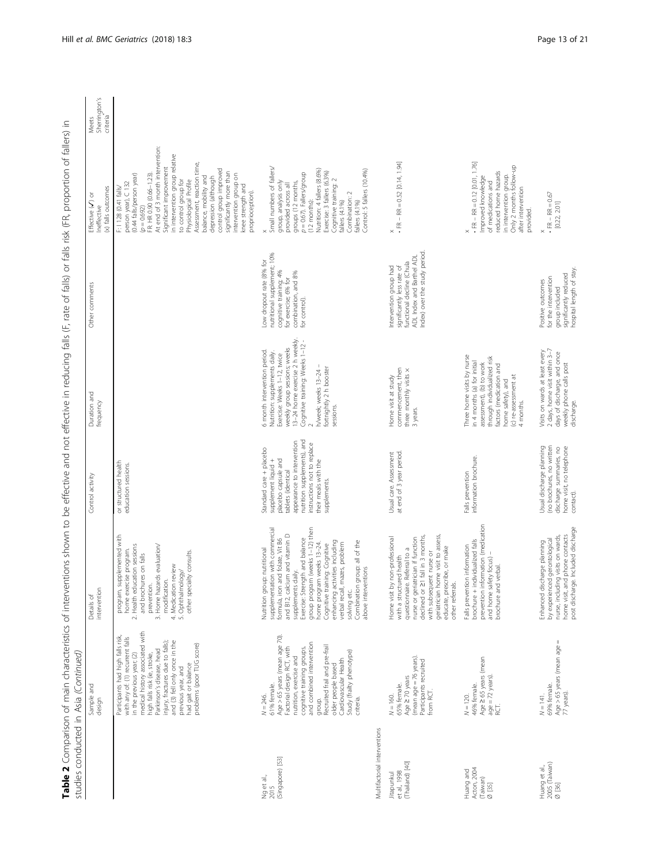| Š.                                                 |                                                                                               |
|----------------------------------------------------|-----------------------------------------------------------------------------------------------|
| j<br>ገ                                             |                                                                                               |
| j<br>$\overline{\phantom{a}}$<br>l                 |                                                                                               |
|                                                    |                                                                                               |
|                                                    |                                                                                               |
| rick (FR) proportion of falle                      |                                                                                               |
|                                                    |                                                                                               |
|                                                    |                                                                                               |
| כ<br>כ                                             |                                                                                               |
|                                                    |                                                                                               |
|                                                    |                                                                                               |
|                                                    |                                                                                               |
| $\frac{1}{2}$                                      |                                                                                               |
|                                                    |                                                                                               |
| $\frac{1}{2}$                                      |                                                                                               |
| ز<br>-                                             |                                                                                               |
|                                                    |                                                                                               |
|                                                    |                                                                                               |
| J                                                  |                                                                                               |
|                                                    |                                                                                               |
| I rate of falle) or falle i<br>Į                   |                                                                                               |
|                                                    |                                                                                               |
| $\frac{1}{2}$                                      |                                                                                               |
| $-1$<br>ת<br>-<br>-                                |                                                                                               |
| j                                                  |                                                                                               |
| j<br>J                                             |                                                                                               |
| in in roy in si<br>$\overline{ }$                  |                                                                                               |
|                                                    |                                                                                               |
|                                                    |                                                                                               |
|                                                    |                                                                                               |
|                                                    |                                                                                               |
|                                                    |                                                                                               |
|                                                    |                                                                                               |
| erventions shown to be effective and not effective |                                                                                               |
| . 15 リ ^ コノリニノ リ/1 /1                              |                                                                                               |
|                                                    |                                                                                               |
|                                                    |                                                                                               |
|                                                    |                                                                                               |
|                                                    |                                                                                               |
|                                                    |                                                                                               |
|                                                    |                                                                                               |
|                                                    |                                                                                               |
|                                                    |                                                                                               |
|                                                    |                                                                                               |
|                                                    |                                                                                               |
|                                                    |                                                                                               |
|                                                    |                                                                                               |
|                                                    |                                                                                               |
| nter                                               |                                                                                               |
|                                                    |                                                                                               |
|                                                    |                                                                                               |
|                                                    |                                                                                               |
|                                                    |                                                                                               |
| i<br>Ï                                             | ֖֖֖֖֧ׅ֪ׅ֖֖֖֖֧ׅ֖֧֚֚֚֚֚֚֚֚֚֚֚֚֚֚֚֚֚֚֚֚֚֚֚֚֚֚֚֚֚֬֝֝֝<br>֧֧֢ׅ֧ׅ֧֧֧֚֚֚֚֚֚֚֚֚֚֚֚֚֚֚֚֚֚֚֚֚֚֚֡֝֘֜֝֬֝֓ |
| $\frac{1}{2}$<br>İ                                 |                                                                                               |
| l                                                  |                                                                                               |
|                                                    | I                                                                                             |
| İ                                                  | ֬֘֝֬                                                                                          |
|                                                    |                                                                                               |
| ļ                                                  |                                                                                               |
| l                                                  |                                                                                               |
| l<br>i                                             | l<br>l<br>$\frac{1}{2}$                                                                       |
| i                                                  |                                                                                               |
| I<br>ı                                             | Ç                                                                                             |
| I                                                  |                                                                                               |
| י<br>ו                                             | ׇ֚֘֝֬<br>$\overline{\phantom{a}}$<br>ׇ֚֬                                                      |
|                                                    | į                                                                                             |
|                                                    | $\frac{1}{\epsilon}$                                                                          |

| studies conducted in Asia (Continued)                      |                                                                                                                                                                                                                                                                                                                                                   | Table 2 Comparison of main characteristics of interventions shown to be effective and not effective in reducing falls (F, rate of falls) or falls risk (FR, proportion of fallers) in                                                                                                                                                                                                                                                        |                                                                                                                                                                                                                                 |                                                                                                                                                                                                                                                                  |                                                                                                                                                   |                                                                                                                                                                                                                                                                                                                                                                                                                                                                              |                                           |
|------------------------------------------------------------|---------------------------------------------------------------------------------------------------------------------------------------------------------------------------------------------------------------------------------------------------------------------------------------------------------------------------------------------------|----------------------------------------------------------------------------------------------------------------------------------------------------------------------------------------------------------------------------------------------------------------------------------------------------------------------------------------------------------------------------------------------------------------------------------------------|---------------------------------------------------------------------------------------------------------------------------------------------------------------------------------------------------------------------------------|------------------------------------------------------------------------------------------------------------------------------------------------------------------------------------------------------------------------------------------------------------------|---------------------------------------------------------------------------------------------------------------------------------------------------|------------------------------------------------------------------------------------------------------------------------------------------------------------------------------------------------------------------------------------------------------------------------------------------------------------------------------------------------------------------------------------------------------------------------------------------------------------------------------|-------------------------------------------|
|                                                            | Sample and<br>design                                                                                                                                                                                                                                                                                                                              | intervention<br>Details of                                                                                                                                                                                                                                                                                                                                                                                                                   | Control activity                                                                                                                                                                                                                | Duration and<br>frequency                                                                                                                                                                                                                                        | Other comments                                                                                                                                    | (x) falls outcomes<br>ð<br>Effective (V)<br>Ineffective                                                                                                                                                                                                                                                                                                                                                                                                                      | Sherrington's<br>criteria<br><b>Meets</b> |
|                                                            | medical history associated with<br>Participants had high falls risk,<br>with any of: (1) recurrent falls<br>and (3) fell only once in the<br>injury, fractures due to falls);<br>problems (poor TUG score)<br>Parkinson's disease, head<br>in the previous year; (2)<br>high falls risk (ie, stroke,<br>had gait or balance<br>previous year, and | program, supplemented with<br>2. Health education sessions<br>3. Home hazards evaluation/<br>home exercise program.<br>other specialty consults.<br>and brochures on falls<br>h review<br>4. Medication revies<br>5. Ophthalmology/<br>modification.<br>prevention                                                                                                                                                                           | or structured health<br>education sessions.                                                                                                                                                                                     |                                                                                                                                                                                                                                                                  |                                                                                                                                                   | At end of 3 month intervention:<br>Significant improvement<br>in intervention group relative<br>Assessment, reaction time,<br>control group improved<br>significantly more than<br>FR: HR 0.90 (0.66-1.23).<br>intervention group on<br>knee strength and<br>(0.44 falls/person year)<br>balance, mobility and<br>depression (although<br>to control group for<br>Physiological Profile<br>person year), C 132<br>F: I 128 (0.41 falls)<br>proprioception).<br>$(p = 0.692)$ |                                           |
| (Singapore) [53]<br>Ng et al.,<br>2015                     | Age > 65 years (mean age 70).<br>and combined intervention<br>Recruited frail and pre-frail<br>Factorial design RCT, with<br>cognitive training groups,<br>Study (frailty phenotype)<br>nutrition, exercise and<br>Cardiovascular Health<br>older people based<br>61% female.<br>$N = 246.$<br>criteria.<br>group.                                | supplementation with commercial<br>group program (weeks 1-12) then<br>and B12, calcium and vitamin D<br>Exercise: Strength and balance<br>formula, iron and folate, Vit B6<br>enhancing activities including<br>group: all of the<br>home program weeks 13-24.<br>Cognitive training: Cognitive<br>verbal recall, mazes, problem<br>Nutrition group: nutritional<br>above interventions<br>supplements daily.<br>Combination<br>solving etc. | nutrition supplements), and<br>appearance to intervention<br>instructions not to replace<br>Standard care + placebo<br>supplement liquid +<br>placebo capsule and<br>their meals with the<br>tablets (identical<br>supplements. | 13-24 home exercise 2 h weekly.<br>Cognitive training: Weeks 1-12<br>weekly group sessions; weeks<br>6 month intervention period.<br>Nutrition: supplements daily.<br>Exercise: Weeks 1-12, twice<br>fortnightly 2 h booster<br>h/week; weeks 13-24<br>sessions. | nutritional supplement; 10%<br>Low dropout rate (8% for<br>cognitive training; 4%<br>combination, and 8%<br>for exercise; 6% for<br>for control). | Small numbers of fallers/<br>Nutrition: 4 fallers (8.6%)<br>Control: 5 fallers (10.4%)<br>Exercise: 3 fallers (6.3%)<br>$p = 0.67$ ). Fallers/group<br>Cognitive training: 2<br>group, analysis only<br>groups (12 months,<br>provided across all<br>Combination: 2<br>(12 months):<br>fallers (4.1%)<br>fallers (4.1%)                                                                                                                                                      |                                           |
| Multifactorial interventions                               |                                                                                                                                                                                                                                                                                                                                                   |                                                                                                                                                                                                                                                                                                                                                                                                                                              |                                                                                                                                                                                                                                 |                                                                                                                                                                                                                                                                  |                                                                                                                                                   |                                                                                                                                                                                                                                                                                                                                                                                                                                                                              |                                           |
| et al., 1998<br>(Thailand) [40]<br>Jitapunkul              | (mean age = 76 years).<br>Participants recruited<br>Age ≥ 70 years<br>65% female.<br>from RCT<br>$N = 160$                                                                                                                                                                                                                                        | geriatrician home visit to assess,<br>declined or 21 fall in 3 months,<br>Home visit by non-professional<br>nurse or geriatrician if function<br>educate, prescribe, or make<br>questionnaire. Referral to a<br>with subsequent nurse or<br>with a structured health<br>other referrals.                                                                                                                                                     | at end of 3 year period.<br>Usual care. Assessment                                                                                                                                                                              | commencement, then<br>three monthly visits x<br>Home visit at study<br>3 years.                                                                                                                                                                                  | ndex) over the study period<br>ADL Index and Barthel ADI<br>functional decline (Chula<br>Intervention group had<br>significantly less rate of     | $-FR - RR = 0.52 [0.14, 1.94]$<br>$\times$                                                                                                                                                                                                                                                                                                                                                                                                                                   |                                           |
| Acton, 2004<br>Huang and<br>(Taiwan)<br>$\varnothing$ [35] | Age ≥ 65 years (mean<br>$age = 72 \text{ years}.$<br>46% female.<br>$N = 120$ .<br>Q.                                                                                                                                                                                                                                                             | prevention information (medication<br>brochure + individualized falls<br>Falls prevention information<br>and home safety focus) -<br>brochure and verbal.                                                                                                                                                                                                                                                                                    | Falls prevention<br>information brochure.                                                                                                                                                                                       | Three home visits by nurse<br>through individualized risk<br>in 4 months (a) for initial<br>assessment), (b) to work<br>factors (medication and<br>(c) re-assessment at<br>home safety), and<br>4 months.                                                        |                                                                                                                                                   | $\cdot$ FR - RR = 0.12 [0.01, 1.76]<br>Only 2 months follow-up<br>after intervention<br>reduced home hazards<br>Improved knowledge<br>in intervention group.<br>of medications and<br>provided.                                                                                                                                                                                                                                                                              |                                           |
| Huang et al.,<br>2005 (Taiwan)<br>0 [36]                   | Age > 65 years (mean age =<br>77 years).<br>69% female.<br>$N = 141$ .                                                                                                                                                                                                                                                                            | home visit, and phone contacts<br>post discharge. Included discharge<br>nurse, including visits on wards,<br>by experienced gerontological<br>Enhanced discharge planning                                                                                                                                                                                                                                                                    | (no brochures, no written<br>Usual discharge planning<br>home visit, no telephone<br>contact).<br>discharge summaries, no                                                                                                       | 2 days, home visit within 3-7<br>Visits on wards at least every<br>days of discharge, and once<br>weekly phone calls post<br>discharge.                                                                                                                          | significantly reduced<br>hospital length of stay.<br>for the intervention<br>Positive outcomes<br>group included                                  | $\cdot$ FR – RR = 0.67<br>[0.22, 2.01]<br>$\times$                                                                                                                                                                                                                                                                                                                                                                                                                           |                                           |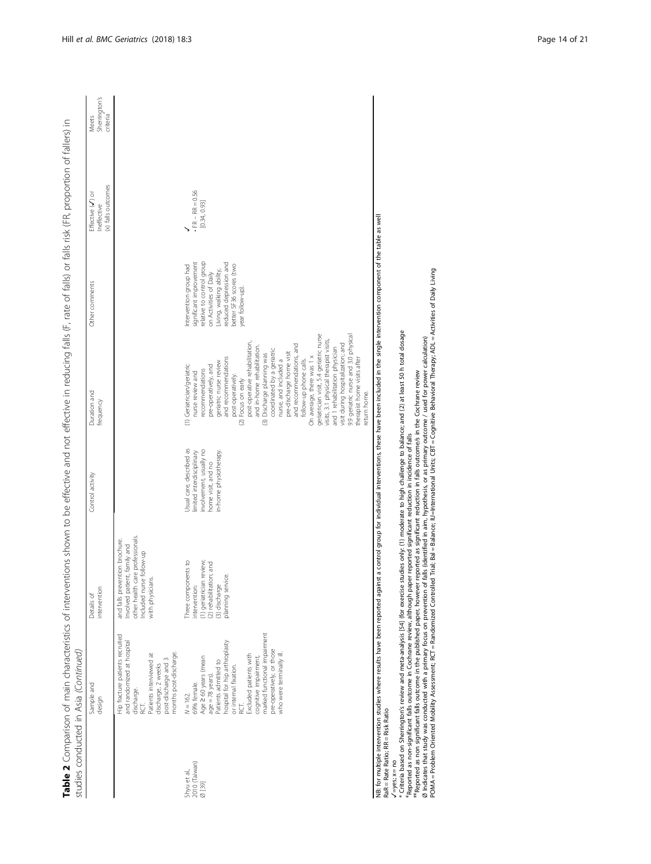|                                       | studies conducted in Asia (Continued)                                                                                                                                                                                                                                                                      | Table 2 Comparison of main characteristics of interventions shown to be effective and not effective in reducing falls (F, rate of falls risk (FR, proportion of fallers) in |                                                                                                                               |                                                                                                                                                                                                                                                                                                                                                                                                                                                                                                                                                                                                                                                                                                              |                                                                                                                                                                                                             |                                                       |                                           |
|---------------------------------------|------------------------------------------------------------------------------------------------------------------------------------------------------------------------------------------------------------------------------------------------------------------------------------------------------------|-----------------------------------------------------------------------------------------------------------------------------------------------------------------------------|-------------------------------------------------------------------------------------------------------------------------------|--------------------------------------------------------------------------------------------------------------------------------------------------------------------------------------------------------------------------------------------------------------------------------------------------------------------------------------------------------------------------------------------------------------------------------------------------------------------------------------------------------------------------------------------------------------------------------------------------------------------------------------------------------------------------------------------------------------|-------------------------------------------------------------------------------------------------------------------------------------------------------------------------------------------------------------|-------------------------------------------------------|-------------------------------------------|
|                                       | Sample and<br>design                                                                                                                                                                                                                                                                                       | intervention<br>Details of                                                                                                                                                  | Control activity                                                                                                              | Duration and<br>frequency                                                                                                                                                                                                                                                                                                                                                                                                                                                                                                                                                                                                                                                                                    | Other comments                                                                                                                                                                                              | (x) falls outcomes<br>Effective (V) or<br>Ineffective | Sherrington's<br>criteria<br><b>Meets</b> |
|                                       | Hip fracture patients recruited<br>and randomized at hospital<br>Patients interviewed at<br>months post-discharge<br>post-discharge and 3<br>discharge, 2 weeks<br>discharge.<br>Ę                                                                                                                         | other health care professionals.<br>and falls prevention brochure.<br>Involved patient, family and<br>Included nurse follow-up<br>with physicians.                          |                                                                                                                               |                                                                                                                                                                                                                                                                                                                                                                                                                                                                                                                                                                                                                                                                                                              |                                                                                                                                                                                                             |                                                       |                                           |
| 2010 (Taiwan)<br>Shyu et al.,<br>[39] | marked functional impaiment<br>hospital for hip arthroplasty<br>pre-operatively, or those<br>Excluded patients with<br>who were terminally ill<br>cognitive impairment,<br>Age 260 years (mean<br>Patients admitted to<br>or internal fixation.<br>$age = 78$ years).<br>69% female.<br>$N = 162.$<br>RCT. | Three components to<br>(1) geriatrician review;<br>(2) rehabilitation; and<br>planning service.<br>intervention:<br>(3) discharge                                           | Usual care, described as<br>nvolvement, usually no<br>n-home physiotherapy.<br>imited interdisciplinary<br>home visit, and no | geriatrician visit, 5.4 geriatric nurse<br>9.9 geriatric nurse and 3.0 physical<br>visits, 3.1 physical therapist visits,<br>post-operative rehabilitation<br>visit during hospitalization; and<br>and recommendations, and<br>and in-home rehabilitation.<br>and 1 rehabilitation physician<br>coordinated by a geriatric<br>pre-discharge home visit<br>(3) Discharge planning was<br>On average, there was 1 x<br>and recommendations<br>therapist home visits after<br>follow-up phone calls.<br>nurse, and included a<br>geriatric nurse review<br>(1) Geriatrician/geriatric<br>pre-operatively, and<br>recommendations<br>nurse review and<br>post-operatively.<br>(2) Focus on early<br>return home. | relative to control group<br>significant improvement<br>reduced depression and<br>ntervention group had<br>better SF36 scores (two<br>Living, walking ability,<br>on Activities of Daily<br>rear follow-up) | $\cdot$ FR - RR = 0.56<br>[0.34, 0.93]                |                                           |

NB: for multiple intervention studies where results have been reported against a control group for individual interventions, these have been included in the single intervention component of the table as well<br>V=yes; x= no<br>\* NB: for multiple intervention studies where results have been reported against a control group for individual interventions, these have been included in the single intervention component of the table as well RaR = Rate Ratio; RR = Risk Ratio

✓=yes; x= no

\* Criteria based on Sherrington's review and meta-analysis [\[54\]](#page-20-0) (for exercise studies only: (1) moderate to high challenge to balance; and (2) at least 50 h total dosage

#Reported as non-significant falls outcome in Cochrane review, although paper reported significant reduction in incidence of falls

##Reported as non significant falls outcome in the published paper, however reported as significant reduction in falls outcome/s in the Cochrane review

Ø Indicates that study was conducted with a primary focus on prevention of falls (identified in aim, hypothesis, or as primary outcome / used for power calculation) POMA = Problem Oriented Mobility Assessment; RCT = Randomized Controlled Trial; Bal = Balance; IU=International Units; CBT = Cognitive Behavioral Therapy; ADL = Activities of Daily Living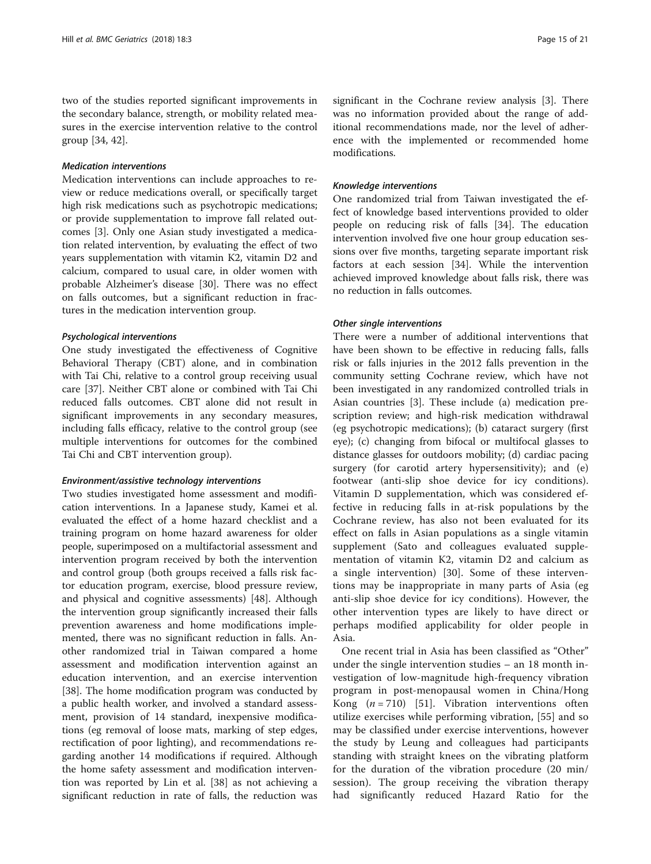two of the studies reported significant improvements in the secondary balance, strength, or mobility related measures in the exercise intervention relative to the control group [[34, 42\]](#page-20-0).

#### Medication interventions

Medication interventions can include approaches to review or reduce medications overall, or specifically target high risk medications such as psychotropic medications; or provide supplementation to improve fall related outcomes [\[3](#page-19-0)]. Only one Asian study investigated a medication related intervention, by evaluating the effect of two years supplementation with vitamin K2, vitamin D2 and calcium, compared to usual care, in older women with probable Alzheimer's disease [\[30](#page-19-0)]. There was no effect on falls outcomes, but a significant reduction in fractures in the medication intervention group.

### Psychological interventions

One study investigated the effectiveness of Cognitive Behavioral Therapy (CBT) alone, and in combination with Tai Chi, relative to a control group receiving usual care [[37](#page-20-0)]. Neither CBT alone or combined with Tai Chi reduced falls outcomes. CBT alone did not result in significant improvements in any secondary measures, including falls efficacy, relative to the control group (see multiple interventions for outcomes for the combined Tai Chi and CBT intervention group).

#### Environment/assistive technology interventions

Two studies investigated home assessment and modification interventions. In a Japanese study, Kamei et al. evaluated the effect of a home hazard checklist and a training program on home hazard awareness for older people, superimposed on a multifactorial assessment and intervention program received by both the intervention and control group (both groups received a falls risk factor education program, exercise, blood pressure review, and physical and cognitive assessments) [[48\]](#page-20-0). Although the intervention group significantly increased their falls prevention awareness and home modifications implemented, there was no significant reduction in falls. Another randomized trial in Taiwan compared a home assessment and modification intervention against an education intervention, and an exercise intervention [[38\]](#page-20-0). The home modification program was conducted by a public health worker, and involved a standard assessment, provision of 14 standard, inexpensive modifications (eg removal of loose mats, marking of step edges, rectification of poor lighting), and recommendations regarding another 14 modifications if required. Although the home safety assessment and modification intervention was reported by Lin et al. [[38\]](#page-20-0) as not achieving a significant reduction in rate of falls, the reduction was significant in the Cochrane review analysis [[3\]](#page-19-0). There was no information provided about the range of additional recommendations made, nor the level of adherence with the implemented or recommended home modifications.

#### Knowledge interventions

One randomized trial from Taiwan investigated the effect of knowledge based interventions provided to older people on reducing risk of falls [\[34](#page-20-0)]. The education intervention involved five one hour group education sessions over five months, targeting separate important risk factors at each session [\[34](#page-20-0)]. While the intervention achieved improved knowledge about falls risk, there was no reduction in falls outcomes.

# Other single interventions

There were a number of additional interventions that have been shown to be effective in reducing falls, falls risk or falls injuries in the 2012 falls prevention in the community setting Cochrane review, which have not been investigated in any randomized controlled trials in Asian countries [\[3](#page-19-0)]. These include (a) medication prescription review; and high-risk medication withdrawal (eg psychotropic medications); (b) cataract surgery (first eye); (c) changing from bifocal or multifocal glasses to distance glasses for outdoors mobility; (d) cardiac pacing surgery (for carotid artery hypersensitivity); and (e) footwear (anti-slip shoe device for icy conditions). Vitamin D supplementation, which was considered effective in reducing falls in at-risk populations by the Cochrane review, has also not been evaluated for its effect on falls in Asian populations as a single vitamin supplement (Sato and colleagues evaluated supplementation of vitamin K2, vitamin D2 and calcium as a single intervention) [[30\]](#page-19-0). Some of these interventions may be inappropriate in many parts of Asia (eg anti-slip shoe device for icy conditions). However, the other intervention types are likely to have direct or perhaps modified applicability for older people in Asia.

One recent trial in Asia has been classified as "Other" under the single intervention studies – an 18 month investigation of low-magnitude high-frequency vibration program in post-menopausal women in China/Hong Kong  $(n = 710)$  [[51\]](#page-20-0). Vibration interventions often utilize exercises while performing vibration, [[55\]](#page-20-0) and so may be classified under exercise interventions, however the study by Leung and colleagues had participants standing with straight knees on the vibrating platform for the duration of the vibration procedure (20 min/ session). The group receiving the vibration therapy had significantly reduced Hazard Ratio for the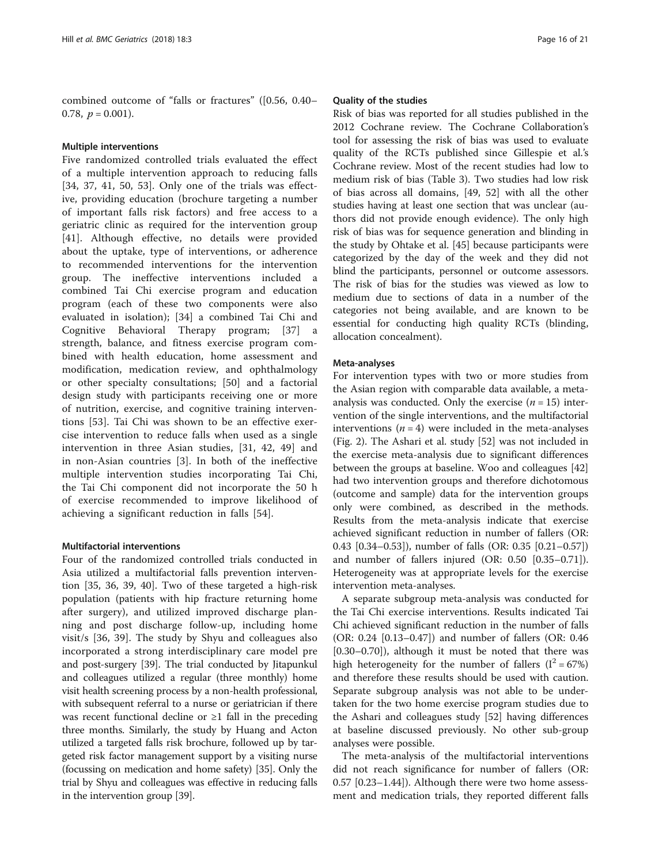combined outcome of "falls or fractures" ([0.56, 0.40– 0.78,  $p = 0.001$ ).

### Multiple interventions

Five randomized controlled trials evaluated the effect of a multiple intervention approach to reducing falls [34, 37, 41, 50, 53]. Only one of the trials was effective, providing education (brochure targeting a number of important falls risk factors) and free access to a geriatric clinic as required for the intervention group [[41\]](#page-20-0). Although effective, no details were provided about the uptake, type of interventions, or adherence to recommended interventions for the intervention group. The ineffective interventions included a combined Tai Chi exercise program and education program (each of these two components were also evaluated in isolation); [[34\]](#page-20-0) a combined Tai Chi and Cognitive Behavioral Therapy program; [\[37](#page-20-0)] a strength, balance, and fitness exercise program combined with health education, home assessment and modification, medication review, and ophthalmology or other specialty consultations; [[50\]](#page-20-0) and a factorial design study with participants receiving one or more of nutrition, exercise, and cognitive training interventions [[53\]](#page-20-0). Tai Chi was shown to be an effective exercise intervention to reduce falls when used as a single intervention in three Asian studies, [[31, 42](#page-20-0), [49\]](#page-20-0) and in non-Asian countries [[3\]](#page-19-0). In both of the ineffective multiple intervention studies incorporating Tai Chi, the Tai Chi component did not incorporate the 50 h of exercise recommended to improve likelihood of achieving a significant reduction in falls [[54\]](#page-20-0).

# Multifactorial interventions

Four of the randomized controlled trials conducted in Asia utilized a multifactorial falls prevention intervention [\[35](#page-20-0), [36](#page-20-0), [39](#page-20-0), [40\]](#page-20-0). Two of these targeted a high-risk population (patients with hip fracture returning home after surgery), and utilized improved discharge planning and post discharge follow-up, including home visit/s [\[36](#page-20-0), [39\]](#page-20-0). The study by Shyu and colleagues also incorporated a strong interdisciplinary care model pre and post-surgery [\[39\]](#page-20-0). The trial conducted by Jitapunkul and colleagues utilized a regular (three monthly) home visit health screening process by a non-health professional, with subsequent referral to a nurse or geriatrician if there was recent functional decline or ≥1 fall in the preceding three months. Similarly, the study by Huang and Acton utilized a targeted falls risk brochure, followed up by targeted risk factor management support by a visiting nurse (focussing on medication and home safety) [\[35\]](#page-20-0). Only the trial by Shyu and colleagues was effective in reducing falls in the intervention group [\[39](#page-20-0)].

#### Quality of the studies

Risk of bias was reported for all studies published in the 2012 Cochrane review. The Cochrane Collaboration's tool for assessing the risk of bias was used to evaluate quality of the RCTs published since Gillespie et al.'s Cochrane review. Most of the recent studies had low to medium risk of bias (Table [3](#page-16-0)). Two studies had low risk of bias across all domains, [[49, 52](#page-20-0)] with all the other studies having at least one section that was unclear (authors did not provide enough evidence). The only high risk of bias was for sequence generation and blinding in the study by Ohtake et al. [\[45\]](#page-20-0) because participants were categorized by the day of the week and they did not blind the participants, personnel or outcome assessors. The risk of bias for the studies was viewed as low to medium due to sections of data in a number of the categories not being available, and are known to be essential for conducting high quality RCTs (blinding, allocation concealment).

#### Meta-analyses

For intervention types with two or more studies from the Asian region with comparable data available, a metaanalysis was conducted. Only the exercise  $(n = 15)$  intervention of the single interventions, and the multifactorial interventions ( $n = 4$ ) were included in the meta-analyses (Fig. [2\)](#page-16-0). The Ashari et al. study [\[52](#page-20-0)] was not included in the exercise meta-analysis due to significant differences between the groups at baseline. Woo and colleagues [[42](#page-20-0)] had two intervention groups and therefore dichotomous (outcome and sample) data for the intervention groups only were combined, as described in the methods. Results from the meta-analysis indicate that exercise achieved significant reduction in number of fallers (OR: 0.43 [0.34–0.53]), number of falls (OR: 0.35 [0.21–0.57]) and number of fallers injured (OR: 0.50 [0.35–0.71]). Heterogeneity was at appropriate levels for the exercise intervention meta-analyses.

A separate subgroup meta-analysis was conducted for the Tai Chi exercise interventions. Results indicated Tai Chi achieved significant reduction in the number of falls (OR: 0.24 [0.13–0.47]) and number of fallers (OR: 0.46 [0.30–0.70]), although it must be noted that there was high heterogeneity for the number of fallers  $(I^2 = 67\%)$ and therefore these results should be used with caution. Separate subgroup analysis was not able to be undertaken for the two home exercise program studies due to the Ashari and colleagues study [[52](#page-20-0)] having differences at baseline discussed previously. No other sub-group analyses were possible.

The meta-analysis of the multifactorial interventions did not reach significance for number of fallers (OR: 0.57 [0.23–1.44]). Although there were two home assessment and medication trials, they reported different falls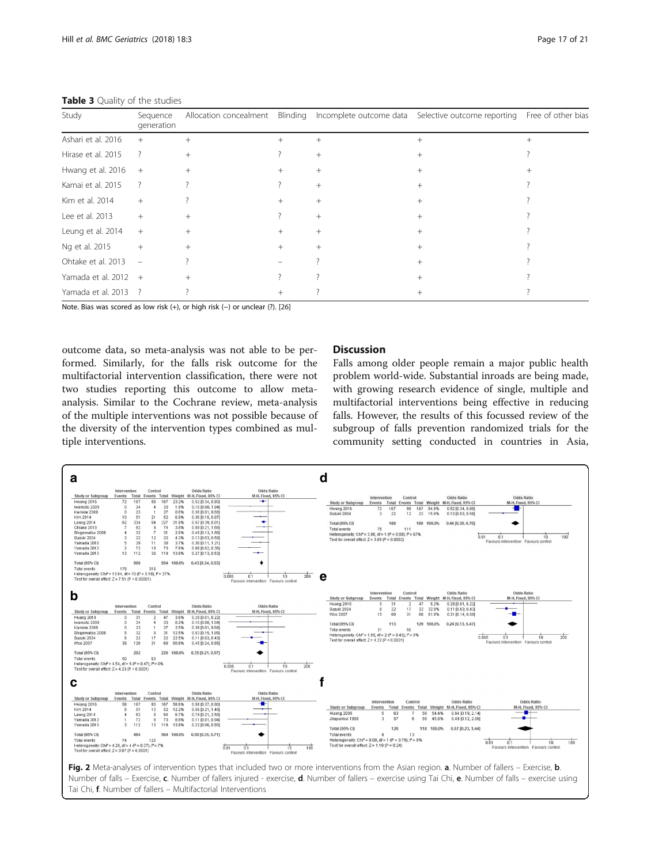| Study              | Sequence<br>generation   | Allocation concealment | Blinding |        | Incomplete outcome data Selective outcome reporting | Free of other bias |
|--------------------|--------------------------|------------------------|----------|--------|-----------------------------------------------------|--------------------|
| Ashari et al. 2016 | $+$                      |                        | $^{+}$   | $^{+}$ |                                                     | $^+$               |
| Hirase et al. 2015 |                          | $^{+}$                 |          | $^{+}$ |                                                     |                    |
| Hwang et al. 2016  | $^{+}$                   | $^{+}$                 | $^{+}$   | $^{+}$ |                                                     |                    |
| Kamai et al. 2015  |                          |                        |          | $+$    |                                                     |                    |
| Kim et al. 2014    | $+$                      |                        | $^{+}$   | $^{+}$ |                                                     |                    |
| Lee et al. 2013    | $+$                      | $^{+}$                 |          | $+$    |                                                     |                    |
| Leung et al. 2014  | $+$                      | $^+$                   | $^{+}$   | $^{+}$ |                                                     |                    |
| Ng et al. 2015     | $+$                      | $^{+}$                 | $^{+}$   | $+$    |                                                     |                    |
| Ohtake et al. 2013 | $\overline{\phantom{0}}$ |                        |          |        |                                                     |                    |
| Yamada et al. 2012 | $+$                      | $^+$                   |          |        |                                                     |                    |
| Yamada et al. 2013 | -7                       |                        | $\! +$   |        |                                                     |                    |

<span id="page-16-0"></span>Table 3 Quality of the studies

Note. Bias was scored as low risk (+), or high risk (−) or unclear (?). [\[26](#page-19-0)]

outcome data, so meta-analysis was not able to be performed. Similarly, for the falls risk outcome for the multifactorial intervention classification, there were not two studies reporting this outcome to allow metaanalysis. Similar to the Cochrane review, meta-analysis of the multiple interventions was not possible because of the diversity of the intervention types combined as multiple interventions.

# **Discussion**

Falls among older people remain a major public health problem world-wide. Substantial inroads are being made, with growing research evidence of single, multiple and multifactorial interventions being effective in reducing falls. However, the results of this focussed review of the subgroup of falls prevention randomized trials for the community setting conducted in countries in Asia,

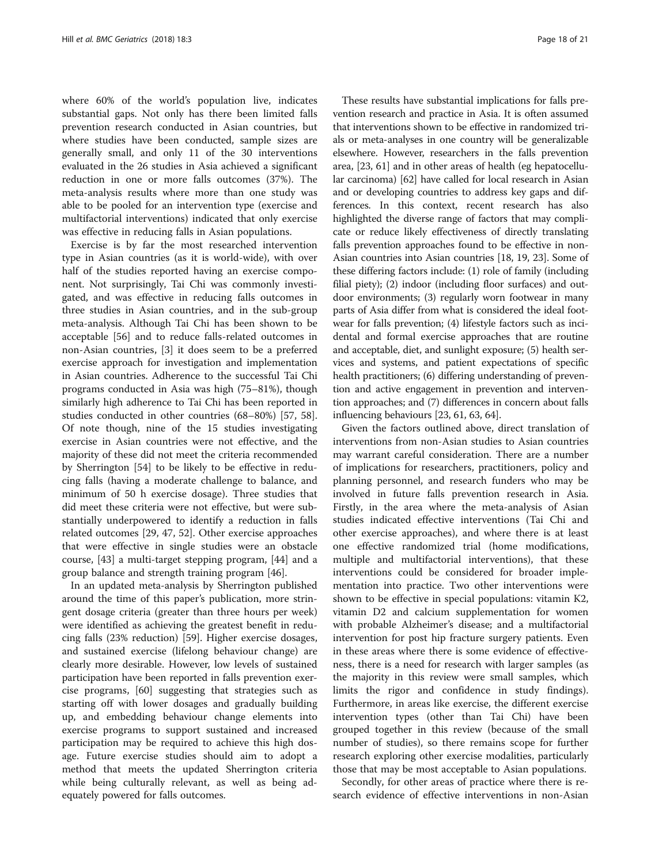where 60% of the world's population live, indicates substantial gaps. Not only has there been limited falls prevention research conducted in Asian countries, but where studies have been conducted, sample sizes are generally small, and only 11 of the 30 interventions evaluated in the 26 studies in Asia achieved a significant reduction in one or more falls outcomes (37%). The meta-analysis results where more than one study was able to be pooled for an intervention type (exercise and multifactorial interventions) indicated that only exercise was effective in reducing falls in Asian populations.

Exercise is by far the most researched intervention type in Asian countries (as it is world-wide), with over half of the studies reported having an exercise component. Not surprisingly, Tai Chi was commonly investigated, and was effective in reducing falls outcomes in three studies in Asian countries, and in the sub-group meta-analysis. Although Tai Chi has been shown to be acceptable [[56](#page-20-0)] and to reduce falls-related outcomes in non-Asian countries, [[3](#page-19-0)] it does seem to be a preferred exercise approach for investigation and implementation in Asian countries. Adherence to the successful Tai Chi programs conducted in Asia was high (75–81%), though similarly high adherence to Tai Chi has been reported in studies conducted in other countries (68–80%) [[57](#page-20-0), [58](#page-20-0)]. Of note though, nine of the 15 studies investigating exercise in Asian countries were not effective, and the majority of these did not meet the criteria recommended by Sherrington [[54](#page-20-0)] to be likely to be effective in reducing falls (having a moderate challenge to balance, and minimum of 50 h exercise dosage). Three studies that did meet these criteria were not effective, but were substantially underpowered to identify a reduction in falls related outcomes [\[29](#page-19-0), [47](#page-20-0), [52](#page-20-0)]. Other exercise approaches that were effective in single studies were an obstacle course, [\[43](#page-20-0)] a multi-target stepping program, [\[44\]](#page-20-0) and a group balance and strength training program [[46\]](#page-20-0).

In an updated meta-analysis by Sherrington published around the time of this paper's publication, more stringent dosage criteria (greater than three hours per week) were identified as achieving the greatest benefit in reducing falls (23% reduction) [\[59\]](#page-20-0). Higher exercise dosages, and sustained exercise (lifelong behaviour change) are clearly more desirable. However, low levels of sustained participation have been reported in falls prevention exercise programs, [[60\]](#page-20-0) suggesting that strategies such as starting off with lower dosages and gradually building up, and embedding behaviour change elements into exercise programs to support sustained and increased participation may be required to achieve this high dosage. Future exercise studies should aim to adopt a method that meets the updated Sherrington criteria while being culturally relevant, as well as being adequately powered for falls outcomes.

These results have substantial implications for falls prevention research and practice in Asia. It is often assumed that interventions shown to be effective in randomized trials or meta-analyses in one country will be generalizable elsewhere. However, researchers in the falls prevention area, [\[23](#page-19-0), [61\]](#page-20-0) and in other areas of health (eg hepatocellular carcinoma) [\[62\]](#page-20-0) have called for local research in Asian and or developing countries to address key gaps and differences. In this context, recent research has also highlighted the diverse range of factors that may complicate or reduce likely effectiveness of directly translating falls prevention approaches found to be effective in non-Asian countries into Asian countries [\[18, 19, 23](#page-19-0)]. Some of these differing factors include: (1) role of family (including filial piety); (2) indoor (including floor surfaces) and outdoor environments; (3) regularly worn footwear in many parts of Asia differ from what is considered the ideal footwear for falls prevention; (4) lifestyle factors such as incidental and formal exercise approaches that are routine and acceptable, diet, and sunlight exposure; (5) health services and systems, and patient expectations of specific health practitioners; (6) differing understanding of prevention and active engagement in prevention and intervention approaches; and (7) differences in concern about falls influencing behaviours [[23,](#page-19-0) [61, 63](#page-20-0), [64\]](#page-20-0).

Given the factors outlined above, direct translation of interventions from non-Asian studies to Asian countries may warrant careful consideration. There are a number of implications for researchers, practitioners, policy and planning personnel, and research funders who may be involved in future falls prevention research in Asia. Firstly, in the area where the meta-analysis of Asian studies indicated effective interventions (Tai Chi and other exercise approaches), and where there is at least one effective randomized trial (home modifications, multiple and multifactorial interventions), that these interventions could be considered for broader implementation into practice. Two other interventions were shown to be effective in special populations: vitamin K2, vitamin D2 and calcium supplementation for women with probable Alzheimer's disease; and a multifactorial intervention for post hip fracture surgery patients. Even in these areas where there is some evidence of effectiveness, there is a need for research with larger samples (as the majority in this review were small samples, which limits the rigor and confidence in study findings). Furthermore, in areas like exercise, the different exercise intervention types (other than Tai Chi) have been grouped together in this review (because of the small number of studies), so there remains scope for further research exploring other exercise modalities, particularly those that may be most acceptable to Asian populations.

Secondly, for other areas of practice where there is research evidence of effective interventions in non-Asian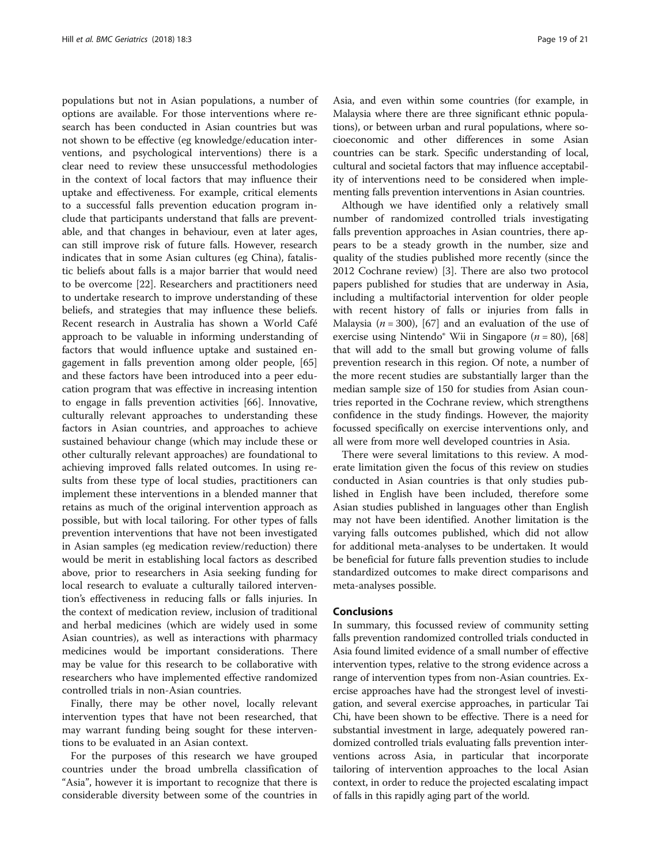populations but not in Asian populations, a number of options are available. For those interventions where research has been conducted in Asian countries but was not shown to be effective (eg knowledge/education interventions, and psychological interventions) there is a clear need to review these unsuccessful methodologies in the context of local factors that may influence their uptake and effectiveness. For example, critical elements to a successful falls prevention education program include that participants understand that falls are preventable, and that changes in behaviour, even at later ages, can still improve risk of future falls. However, research indicates that in some Asian cultures (eg China), fatalistic beliefs about falls is a major barrier that would need to be overcome [[22](#page-19-0)]. Researchers and practitioners need to undertake research to improve understanding of these beliefs, and strategies that may influence these beliefs. Recent research in Australia has shown a World Café approach to be valuable in informing understanding of factors that would influence uptake and sustained engagement in falls prevention among older people, [[65](#page-20-0)] and these factors have been introduced into a peer education program that was effective in increasing intention to engage in falls prevention activities [\[66\]](#page-20-0). Innovative, culturally relevant approaches to understanding these factors in Asian countries, and approaches to achieve sustained behaviour change (which may include these or other culturally relevant approaches) are foundational to achieving improved falls related outcomes. In using results from these type of local studies, practitioners can implement these interventions in a blended manner that retains as much of the original intervention approach as possible, but with local tailoring. For other types of falls prevention interventions that have not been investigated in Asian samples (eg medication review/reduction) there would be merit in establishing local factors as described above, prior to researchers in Asia seeking funding for local research to evaluate a culturally tailored intervention's effectiveness in reducing falls or falls injuries. In the context of medication review, inclusion of traditional and herbal medicines (which are widely used in some Asian countries), as well as interactions with pharmacy medicines would be important considerations. There may be value for this research to be collaborative with researchers who have implemented effective randomized controlled trials in non-Asian countries.

Finally, there may be other novel, locally relevant intervention types that have not been researched, that may warrant funding being sought for these interventions to be evaluated in an Asian context.

For the purposes of this research we have grouped countries under the broad umbrella classification of "Asia", however it is important to recognize that there is considerable diversity between some of the countries in

Asia, and even within some countries (for example, in Malaysia where there are three significant ethnic populations), or between urban and rural populations, where socioeconomic and other differences in some Asian countries can be stark. Specific understanding of local, cultural and societal factors that may influence acceptability of interventions need to be considered when implementing falls prevention interventions in Asian countries.

Although we have identified only a relatively small number of randomized controlled trials investigating falls prevention approaches in Asian countries, there appears to be a steady growth in the number, size and quality of the studies published more recently (since the 2012 Cochrane review) [[3\]](#page-19-0). There are also two protocol papers published for studies that are underway in Asia, including a multifactorial intervention for older people with recent history of falls or injuries from falls in Malaysia ( $n = 300$ ), [\[67](#page-20-0)] and an evaluation of the use of exercise using Nintendo<sup>®</sup> Wii in Singapore ( $n = 80$ ), [[68](#page-20-0)] that will add to the small but growing volume of falls prevention research in this region. Of note, a number of the more recent studies are substantially larger than the median sample size of 150 for studies from Asian countries reported in the Cochrane review, which strengthens confidence in the study findings. However, the majority focussed specifically on exercise interventions only, and all were from more well developed countries in Asia.

There were several limitations to this review. A moderate limitation given the focus of this review on studies conducted in Asian countries is that only studies published in English have been included, therefore some Asian studies published in languages other than English may not have been identified. Another limitation is the varying falls outcomes published, which did not allow for additional meta-analyses to be undertaken. It would be beneficial for future falls prevention studies to include standardized outcomes to make direct comparisons and meta-analyses possible.

# Conclusions

In summary, this focussed review of community setting falls prevention randomized controlled trials conducted in Asia found limited evidence of a small number of effective intervention types, relative to the strong evidence across a range of intervention types from non-Asian countries. Exercise approaches have had the strongest level of investigation, and several exercise approaches, in particular Tai Chi, have been shown to be effective. There is a need for substantial investment in large, adequately powered randomized controlled trials evaluating falls prevention interventions across Asia, in particular that incorporate tailoring of intervention approaches to the local Asian context, in order to reduce the projected escalating impact of falls in this rapidly aging part of the world.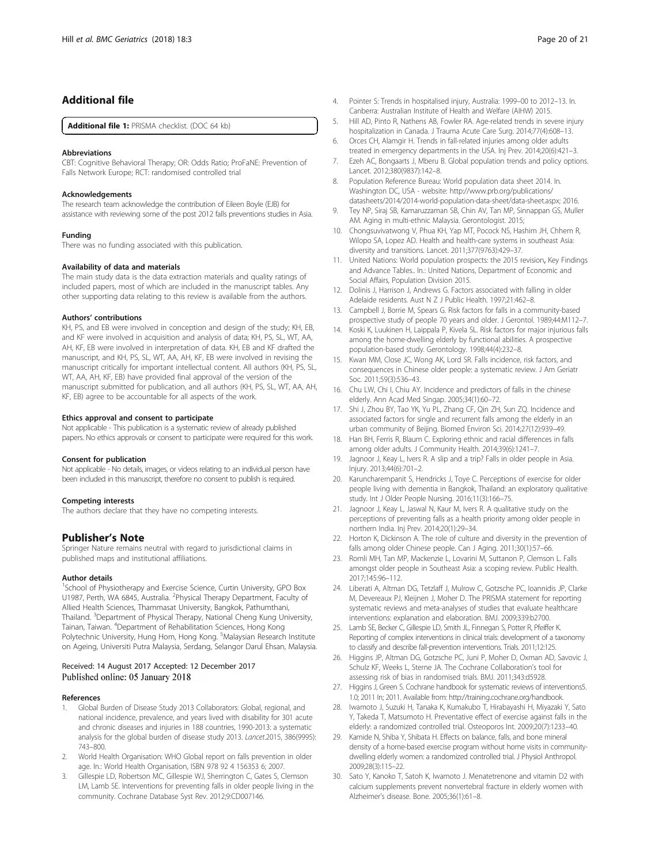# <span id="page-19-0"></span>Additional file

[Additional file 1:](dx.doi.org/10.1186/s12877-017-0683-1) PRISMA checklist. (DOC 64 kb)

#### Abbreviations

CBT: Cognitive Behavioral Therapy; OR: Odds Ratio; ProFaNE: Prevention of Falls Network Europe; RCT: randomised controlled trial

#### Acknowledgements

The research team acknowledge the contribution of Eileen Boyle (EJB) for assistance with reviewing some of the post 2012 falls preventions studies in Asia.

#### Funding

There was no funding associated with this publication.

#### Availability of data and materials

The main study data is the data extraction materials and quality ratings of included papers, most of which are included in the manuscript tables. Any other supporting data relating to this review is available from the authors.

#### Authors' contributions

KH, PS, and EB were involved in conception and design of the study; KH, EB, and KF were involved in acquisition and analysis of data; KH, PS, SL, WT, AA, AH, KF, EB were involved in interpretation of data. KH, EB and KF drafted the manuscript, and KH, PS, SL, WT, AA, AH, KF, EB were involved in revising the manuscript critically for important intellectual content. All authors (KH, PS, SL, WT, AA, AH, KF, EB) have provided final approval of the version of the manuscript submitted for publication, and all authors (KH, PS, SL, WT, AA, AH, KF, EB) agree to be accountable for all aspects of the work.

#### Ethics approval and consent to participate

Not applicable - This publication is a systematic review of already published papers. No ethics approvals or consent to participate were required for this work.

#### Consent for publication

Not applicable - No details, images, or videos relating to an individual person have been included in this manuscript, therefore no consent to publish is required.

#### Competing interests

The authors declare that they have no competing interests.

#### Publisher's Note

Springer Nature remains neutral with regard to jurisdictional claims in published maps and institutional affiliations.

#### Author details

<sup>1</sup>School of Physiotherapy and Exercise Science, Curtin University, GPO Box U1987, Perth, WA 6845, Australia. <sup>2</sup> Physical Therapy Department, Faculty of Allied Health Sciences, Thammasat University, Bangkok, Pathumthani, Thailand. <sup>3</sup> Department of Physical Therapy, National Cheng Kung University, Tainan, Taiwan. <sup>4</sup> Department of Rehabilitation Sciences, Hong Kong Polytechnic University, Hung Hom, Hong Kong. <sup>5</sup>Malaysian Research Institute on Ageing, Universiti Putra Malaysia, Serdang, Selangor Darul Ehsan, Malaysia.

#### Received: 14 August 2017 Accepted: 12 December 2017 Published online: 05 January 2018

#### References

- 1. Global Burden of Disease Study 2013 Collaborators: Global, regional, and national incidence, prevalence, and years lived with disability for 301 acute and chronic diseases and injuries in 188 countries, 1990-2013: a systematic analysis for the global burden of disease study 2013. Lancet.2015, 386(9995): 743–800.
- 2. World Health Organisation: WHO Global report on falls prevention in older age. In.: World Health Organisation, ISBN 978 92 4 156353 6; 2007.
- 3. Gillespie LD, Robertson MC, Gillespie WJ, Sherrington C, Gates S, Clemson LM, Lamb SE. Interventions for preventing falls in older people living in the community. Cochrane Database Syst Rev. 2012;9:CD007146.
- 4. Pointer S: Trends in hospitalised injury, Australia: 1999–00 to 2012–13. In. Canberra: Australian Institute of Health and Welfare (AIHW) 2015.
- 5. Hill AD, Pinto R, Nathens AB, Fowler RA. Age-related trends in severe injury hospitalization in Canada. J Trauma Acute Care Surg. 2014;77(4):608–13.
- 6. Orces CH, Alamgir H. Trends in fall-related injuries among older adults treated in emergency departments in the USA. Inj Prev. 2014;20(6):421–3.
- 7. Ezeh AC, Bongaarts J, Mberu B. Global population trends and policy options. Lancet. 2012;380(9837):142–8.
- 8. Population Reference Bureau: World population data sheet 2014. In. Washington DC, USA - website: [http://www.prb.org/publications/](http://www.prb.org/publications/datasheets/2014/2014-world-population-data-sheet/data-sheet.aspx) [datasheets/2014/2014-world-population-data-sheet/data-sheet.aspx;](http://www.prb.org/publications/datasheets/2014/2014-world-population-data-sheet/data-sheet.aspx) 2016.
- 9. Tey NP, Siraj SB, Kamaruzzaman SB, Chin AV, Tan MP, Sinnappan GS, Muller AM. Aging in multi-ethnic Malaysia. Gerontologist. 2015;
- 10. Chongsuvivatwong V, Phua KH, Yap MT, Pocock NS, Hashim JH, Chhem R, Wilopo SA, Lopez AD. Health and health-care systems in southeast Asia: diversity and transitions. Lancet. 2011;377(9763):429–37.
- 11. United Nations: World population prospects: the 2015 revision, Key Findings and Advance Tables.. In.: United Nations, Department of Economic and Social Affairs, Population Division 2015.
- 12. Dolinis J, Harrison J, Andrews G. Factors associated with falling in older Adelaide residents. Aust N Z J Public Health. 1997;21:462–8.
- 13. Campbell J, Borrie M, Spears G. Risk factors for falls in a community-based prospective study of people 70 years and older. J Gerontol. 1989;44:M112–7.
- 14. Koski K, Luukinen H, Laippala P, Kivela SL. Risk factors for major injurious falls among the home-dwelling elderly by functional abilities. A prospective population-based study. Gerontology. 1998;44(4):232–8.
- 15. Kwan MM, Close JC, Wong AK, Lord SR. Falls incidence, risk factors, and consequences in Chinese older people: a systematic review. J Am Geriatr Soc. 2011;59(3):536–43.
- 16. Chu LW, Chi I, Chiu AY. Incidence and predictors of falls in the chinese elderly. Ann Acad Med Singap. 2005;34(1):60–72.
- 17. Shi J, Zhou BY, Tao YK, Yu PL, Zhang CF, Qin ZH, Sun ZQ. Incidence and associated factors for single and recurrent falls among the elderly in an urban community of Beijing. Biomed Environ Sci. 2014;27(12):939–49.
- 18. Han BH, Ferris R, Blaum C. Exploring ethnic and racial differences in falls among older adults. J Community Health. 2014;39(6):1241–7.
- 19. Jagnoor J, Keay L, Ivers R. A slip and a trip? Falls in older people in Asia. Injury. 2013;44(6):701–2.
- 20. Karuncharernpanit S, Hendricks J, Toye C. Perceptions of exercise for older people living with dementia in Bangkok, Thailand: an exploratory qualitative study. Int J Older People Nursing. 2016;11(3):166–75.
- 21. Jagnoor J, Keay L, Jaswal N, Kaur M, Ivers R. A qualitative study on the perceptions of preventing falls as a health priority among older people in northern India. Inj Prev. 2014;20(1):29–34.
- 22. Horton K, Dickinson A. The role of culture and diversity in the prevention of falls among older Chinese people. Can J Aging. 2011;30(1):57–66.
- 23. Romli MH, Tan MP, Mackenzie L, Lovarini M, Suttanon P, Clemson L. Falls amongst older people in Southeast Asia: a scoping review. Public Health. 2017;145:96–112.
- 24. Liberati A, Altman DG, Tetzlaff J, Mulrow C, Gotzsche PC, Ioannidis JP, Clarke M, Devereaux PJ, Kleijnen J, Moher D. The PRISMA statement for reporting systematic reviews and meta-analyses of studies that evaluate healthcare interventions: explanation and elaboration. BMJ. 2009;339:b2700.
- 25. Lamb SE, Becker C, Gillespie LD, Smith JL, Finnegan S, Potter R, Pfeiffer K. Reporting of complex interventions in clinical trials: development of a taxonomy to classify and describe fall-prevention interventions. Trials. 2011;12:125.
- 26. Higgins JP, Altman DG, Gotzsche PC, Juni P, Moher D, Oxman AD, Savovic J, Schulz KF, Weeks L, Sterne JA. The Cochrane Collaboration's tool for assessing risk of bias in randomised trials. BMJ. 2011;343:d5928.
- 27. Higgins J, Green S. Cochrane handbook for systematic reviews of interventions5. 1.0; 2011 In; 2011. Available from:<http://training.cochrane.org/handbook>.
- 28. Iwamoto J, Suzuki H, Tanaka K, Kumakubo T, Hirabayashi H, Miyazaki Y, Sato Y, Takeda T, Matsumoto H. Preventative effect of exercise against falls in the elderly: a randomized controlled trial. Osteoporos Int. 2009;20(7):1233–40.
- 29. Kamide N, Shiba Y, Shibata H. Effects on balance, falls, and bone mineral density of a home-based exercise program without home visits in communitydwelling elderly women: a randomized controlled trial. J Physiol Anthropol. 2009;28(3):115–22.
- 30. Sato Y, Kanoko T, Satoh K, Iwamoto J. Menatetrenone and vitamin D2 with calcium supplements prevent nonvertebral fracture in elderly women with Alzheimer's disease. Bone. 2005;36(1):61–8.